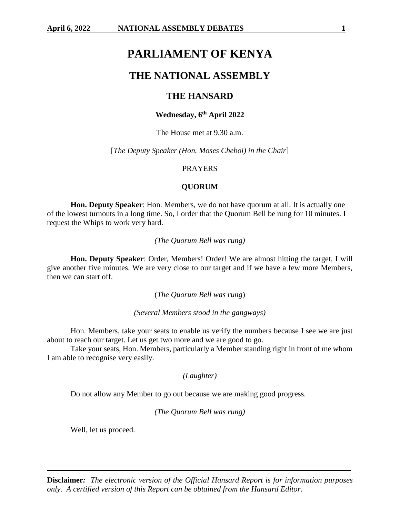# **PARLIAMENT OF KENYA**

## **THE NATIONAL ASSEMBLY**

## **THE HANSARD**

## **Wednesday, 6 th April 2022**

The House met at 9.30 a.m.

[*The Deputy Speaker (Hon. Moses Cheboi) in the Chair*]

### PRAYERS

## **QUORUM**

**Hon. Deputy Speaker**: Hon. Members, we do not have quorum at all. It is actually one of the lowest turnouts in a long time. So, I order that the Quorum Bell be rung for 10 minutes. I request the Whips to work very hard.

*(The Quorum Bell was rung)*

**Hon. Deputy Speaker**: Order, Members! Order! We are almost hitting the target. I will give another five minutes. We are very close to our target and if we have a few more Members, then we can start off.

(*The Quorum Bell was rung*)

*(Several Members stood in the gangways)*

Hon. Members, take your seats to enable us verify the numbers because I see we are just about to reach our target. Let us get two more and we are good to go.

Take your seats, Hon. Members, particularly a Member standing right in front of me whom I am able to recognise very easily.

*(Laughter)*

Do not allow any Member to go out because we are making good progress.

*(The Quorum Bell was rung)*

Well, let us proceed.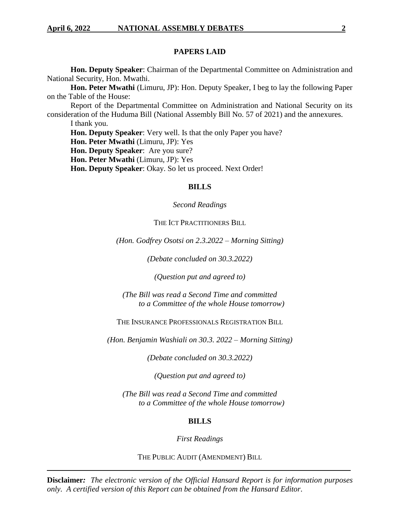## **PAPERS LAID**

**Hon. Deputy Speaker**: Chairman of the Departmental Committee on Administration and National Security, Hon. Mwathi.

**Hon. Peter Mwathi** (Limuru, JP): Hon. Deputy Speaker, I beg to lay the following Paper on the Table of the House:

Report of the Departmental Committee on Administration and National Security on its consideration of the Huduma Bill (National Assembly Bill No. 57 of 2021) and the annexures.

I thank you.

**Hon. Deputy Speaker**: Very well. Is that the only Paper you have?

**Hon. Peter Mwathi** (Limuru, JP): Yes

**Hon. Deputy Speaker**:Are you sure?

**Hon. Peter Mwathi** (Limuru, JP): Yes

**Hon. Deputy Speaker**: Okay. So let us proceed. Next Order!

## **BILLS**

#### *Second Readings*

## THE ICT PRACTITIONERS BILL

*(Hon. Godfrey Osotsi on 2.3.2022 – Morning Sitting)*

*(Debate concluded on 30.3.2022)*

*(Question put and agreed to)*

*(The Bill was read a Second Time and committed to a Committee of the whole House tomorrow)*

THE INSURANCE PROFESSIONALS REGISTRATION BILL

*(Hon. Benjamin Washiali on 30.3. 2022 – Morning Sitting)*

*(Debate concluded on 30.3.2022)*

*(Question put and agreed to)*

*(The Bill was read a Second Time and committed to a Committee of the whole House tomorrow)*

## **BILLS**

*First Readings*

THE PUBLIC AUDIT (AMENDMENT) BILL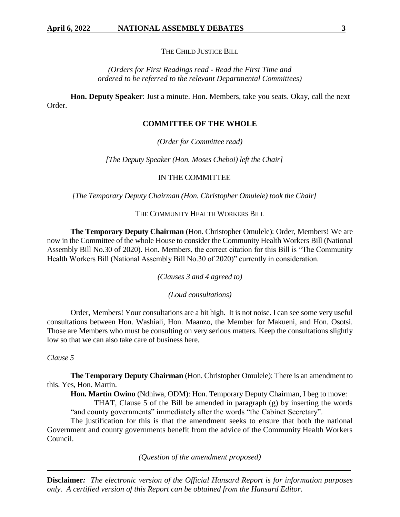## THE CHILD JUSTICE BILL

## *(Orders for First Readings read - Read the First Time and ordered to be referred to the relevant Departmental Committees)*

**Hon. Deputy Speaker**: Just a minute. Hon. Members, take you seats. Okay, call the next Order.

## **COMMITTEE OF THE WHOLE**

*(Order for Committee read)*

*[The Deputy Speaker (Hon. Moses Cheboi) left the Chair]*

## IN THE COMMITTEE

*[The Temporary Deputy Chairman (Hon. Christopher Omulele) took the Chair]*

#### THE COMMUNITY HEALTH WORKERS BILL

**The Temporary Deputy Chairman** (Hon. Christopher Omulele): Order, Members! We are now in the Committee of the whole House to consider the Community Health Workers Bill (National Assembly Bill No.30 of 2020). Hon. Members, the correct citation for this Bill is "The Community Health Workers Bill (National Assembly Bill No.30 of 2020)" currently in consideration.

*(Clauses 3 and 4 agreed to)*

*(Loud consultations)*

Order, Members! Your consultations are a bit high. It is not noise. I can see some very useful consultations between Hon. Washiali, Hon. Maanzo, the Member for Makueni, and Hon. Osotsi. Those are Members who must be consulting on very serious matters. Keep the consultations slightly low so that we can also take care of business here.

#### *Clause 5*

**The Temporary Deputy Chairman** (Hon. Christopher Omulele): There is an amendment to this. Yes, Hon. Martin.

**Hon. Martin Owino** (Ndhiwa, ODM): Hon. Temporary Deputy Chairman, I beg to move:

THAT, Clause 5 of the Bill be amended in paragraph (g) by inserting the words "and county governments" immediately after the words "the Cabinet Secretary".

The justification for this is that the amendment seeks to ensure that both the national Government and county governments benefit from the advice of the Community Health Workers Council.

*(Question of the amendment proposed)*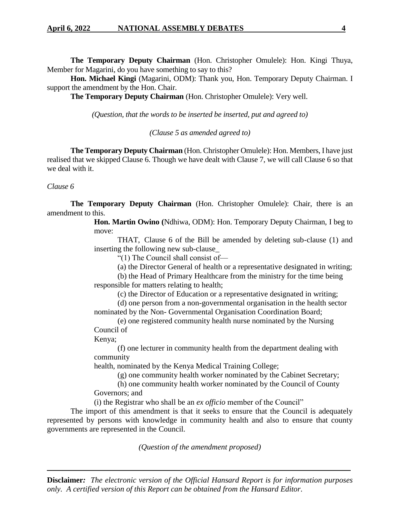**The Temporary Deputy Chairman** (Hon. Christopher Omulele): Hon. Kingi Thuya, Member for Magarini, do you have something to say to this?

**Hon. Michael Kingi** (Magarini, ODM): Thank you, Hon. Temporary Deputy Chairman. I support the amendment by the Hon. Chair.

**The Temporary Deputy Chairman** (Hon. Christopher Omulele): Very well.

*(Question, that the words to be inserted be inserted, put and agreed to)*

*(Clause 5 as amended agreed to)*

**The Temporary Deputy Chairman** (Hon. Christopher Omulele): Hon. Members, I have just realised that we skipped Clause 6. Though we have dealt with Clause 7, we will call Clause 6 so that we deal with it.

*Clause 6*

**The Temporary Deputy Chairman** (Hon. Christopher Omulele): Chair, there is an amendment to this.

> **Hon. Martin Owino (**Ndhiwa, ODM): Hon. Temporary Deputy Chairman, I beg to move:

> THAT, Clause 6 of the Bill be amended by deleting sub-clause (1) and inserting the following new sub-clause\_

"(1) The Council shall consist of—

(a) the Director General of health or a representative designated in writing;

(b) the Head of Primary Healthcare from the ministry for the time being responsible for matters relating to health;

(c) the Director of Education or a representative designated in writing;

(d) one person from a non-governmental organisation in the health sector nominated by the Non- Governmental Organisation Coordination Board;

(e) one registered community health nurse nominated by the Nursing Council of

Kenya;

(f) one lecturer in community health from the department dealing with community

health, nominated by the Kenya Medical Training College;

(g) one community health worker nominated by the Cabinet Secretary;

(h) one community health worker nominated by the Council of County Governors; and

(i) the Registrar who shall be an *ex officio* member of the Council"

The import of this amendment is that it seeks to ensure that the Council is adequately represented by persons with knowledge in community health and also to ensure that county governments are represented in the Council.

*(Question of the amendment proposed)*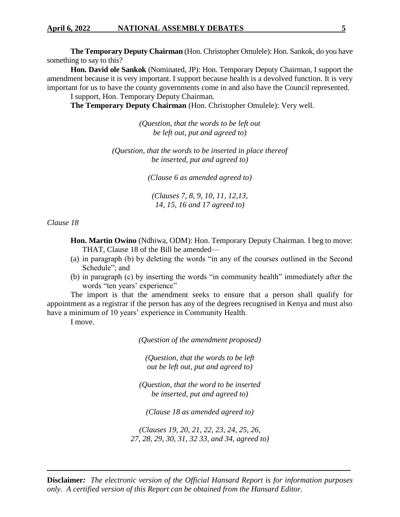**The Temporary Deputy Chairman** (Hon. Christopher Omulele): Hon. Sankok, do you have something to say to this?

**Hon. David ole Sankok** (Nominated, JP): Hon. Temporary Deputy Chairman, I support the amendment because it is very important. I support because health is a devolved function. It is very important for us to have the county governments come in and also have the Council represented.

I support, Hon. Temporary Deputy Chairman.

**The Temporary Deputy Chairman** (Hon. Christopher Omulele): Very well.

*(Question, that the words to be left out be left out, put and agreed to)*

*(Question, that the words to be inserted in place thereof be inserted, put and agreed to)*

*(Clause 6 as amended agreed to)*

*(Clauses 7, 8, 9, 10, 11, 12,13, 14, 15, 16 and 17 agreed to)*

*Clause 18*

**Hon. Martin Owino** (Ndhiwa, ODM): Hon. Temporary Deputy Chairman. I beg to move: THAT, Clause 18 of the Bill be amended—

- (a) in paragraph (b) by deleting the words "in any of the courses outlined in the Second Schedule"; and
- (b) in paragraph (c) by inserting the words "in community health" immediately after the words "ten years' experience"

The import is that the amendment seeks to ensure that a person shall qualify for appointment as a registrar if the person has any of the degrees recognised in Kenya and must also have a minimum of 10 years' experience in Community Health.

I move.

*(Question of the amendment proposed)*

*(Question, that the words to be left out be left out, put and agreed to)*

*(Question, that the word to be inserted be inserted, put and agreed to)*

*(Clause 18 as amended agreed to)*

*(Clauses 19, 20, 21, 22, 23, 24, 25, 26, 27, 28, 29, 30, 31, 32 33, and 34, agreed to)*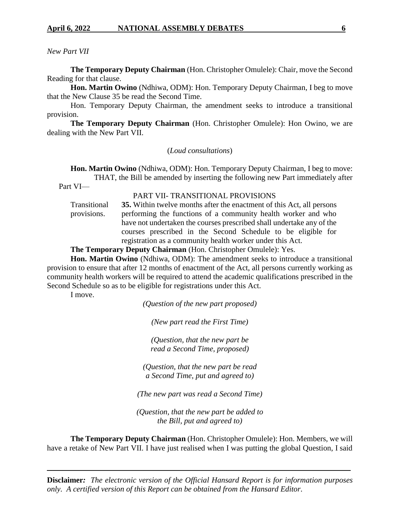## *New Part VII*

**The Temporary Deputy Chairman** (Hon. Christopher Omulele): Chair, move the Second Reading for that clause.

**Hon. Martin Owino** (Ndhiwa, ODM): Hon. Temporary Deputy Chairman, I beg to move that the New Clause 35 be read the Second Time.

Hon. Temporary Deputy Chairman, the amendment seeks to introduce a transitional provision.

**The Temporary Deputy Chairman** (Hon. Christopher Omulele): Hon Owino, we are dealing with the New Part VII.

(*Loud consultations*)

**Hon. Martin Owino** (Ndhiwa, ODM): Hon. Temporary Deputy Chairman, I beg to move: THAT, the Bill be amended by inserting the following new Part immediately after

Part VI—

PART VII- TRANSITIONAL PROVISIONS

Transitional provisions. **35.** Within twelve months after the enactment of this Act, all persons performing the functions of a community health worker and who have not undertaken the courses prescribed shall undertake any of the courses prescribed in the Second Schedule to be eligible for registration as a community health worker under this Act.

**The Temporary Deputy Chairman** (Hon. Christopher Omulele): Yes.

**Hon. Martin Owino** (Ndhiwa, ODM): The amendment seeks to introduce a transitional provision to ensure that after 12 months of enactment of the Act, all persons currently working as community health workers will be required to attend the academic qualifications prescribed in the Second Schedule so as to be eligible for registrations under this Act.

I move.

*(Question of the new part proposed)*

*(New part read the First Time)*

*(Question, that the new part be read a Second Time, proposed)*

*(Question, that the new part be read a Second Time, put and agreed to)*

*(The new part was read a Second Time)*

*(Question, that the new part be added to the Bill, put and agreed to)*

**The Temporary Deputy Chairman** (Hon. Christopher Omulele): Hon. Members, we will have a retake of New Part VII. I have just realised when I was putting the global Question, I said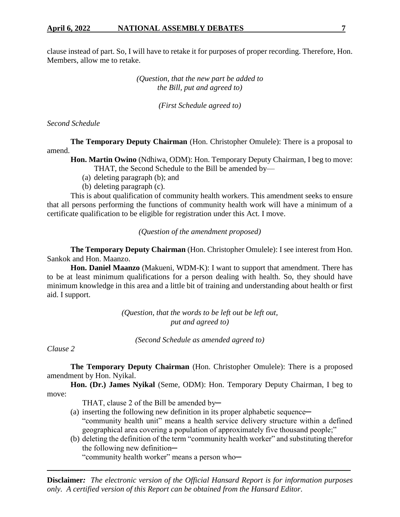clause instead of part. So, I will have to retake it for purposes of proper recording. Therefore, Hon. Members, allow me to retake.

> *(Question, that the new part be added to the Bill, put and agreed to)*

> > *(First Schedule agreed to)*

*Second Schedule* 

**The Temporary Deputy Chairman** (Hon. Christopher Omulele): There is a proposal to amend.

**Hon. Martin Owino** (Ndhiwa, ODM): Hon. Temporary Deputy Chairman, I beg to move: THAT, the Second Schedule to the Bill be amended by—

- (a) deleting paragraph (b); and
- (b) deleting paragraph (c).

This is about qualification of community health workers. This amendment seeks to ensure that all persons performing the functions of community health work will have a minimum of a certificate qualification to be eligible for registration under this Act. I move.

*(Question of the amendment proposed)*

**The Temporary Deputy Chairman** (Hon. Christopher Omulele): I see interest from Hon. Sankok and Hon. Maanzo.

**Hon. Daniel Maanzo** (Makueni, WDM-K): I want to support that amendment. There has to be at least minimum qualifications for a person dealing with health. So, they should have minimum knowledge in this area and a little bit of training and understanding about health or first aid. I support.

> *(Question, that the words to be left out be left out, put and agreed to)*

*(Second Schedule as amended agreed to)*

*Clause 2* 

**The Temporary Deputy Chairman** (Hon. Christopher Omulele): There is a proposed amendment by Hon. Nyikal.

**Hon. (Dr.) James Nyikal** (Seme, ODM): Hon. Temporary Deputy Chairman, I beg to move:

THAT, clause 2 of the Bill be amended by-

- (a) inserting the following new definition in its proper alphabetic sequence— "community health unit" means a health service delivery structure within a defined geographical area covering a population of approximately five thousand people;"
- (b) deleting the definition of the term "community health worker" and substituting therefor the following new definition-

"community health worker" means a person who─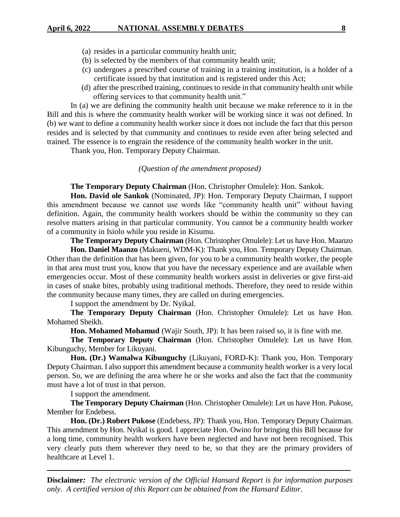- (a) resides in a particular community health unit;
- (b) is selected by the members of that community health unit;
- (c) undergoes a prescribed course of training in a training institution, is a holder of a certificate issued by that institution and is registered under this Act;
- (d) after the prescribed training, continues to reside in that community health unit while offering services to that community health unit."

In (a) we are defining the community health unit because we make reference to it in the Bill and this is where the community health worker will be working since it was not defined. In (b) we want to define a community health worker since it does not include the fact that this person resides and is selected by that community and continues to reside even after being selected and trained. The essence is to engrain the residence of the community health worker in the unit.

Thank you, Hon. Temporary Deputy Chairman.

## *(Question of the amendment proposed)*

## **The Temporary Deputy Chairman** (Hon. Christopher Omulele): Hon. Sankok.

**Hon. David ole Sankok** (Nominated, JP): Hon. Temporary Deputy Chairman, I support this amendment because we cannot use words like "community health unit" without having definition. Again, the community health workers should be within the community so they can resolve matters arising in that particular community. You cannot be a community health worker of a community in Isiolo while you reside in Kisumu.

**The Temporary Deputy Chairman** (Hon. Christopher Omulele): Let us have Hon. Maanzo

**Hon. Daniel Maanzo** (Makueni, WDM-K): Thank you, Hon. Temporary Deputy Chairman. Other than the definition that has been given, for you to be a community health worker, the people in that area must trust you, know that you have the necessary experience and are available when emergencies occur. Most of these community health workers assist in deliveries or give first-aid in cases of snake bites, probably using traditional methods. Therefore, they need to reside within the community because many times, they are called on during emergencies.

I support the amendment by Dr. Nyikal.

**The Temporary Deputy Chairman** (Hon. Christopher Omulele): Let us have Hon. Mohamed Sheikh.

**Hon. Mohamed Mohamud** (Wajir South, JP): It has been raised so, it is fine with me.

**The Temporary Deputy Chairman** (Hon. Christopher Omulele): Let us have Hon. Kibunguchy, Member for Likuyani.

**Hon. (Dr.) Wamalwa Kibunguchy** (Likuyani, FORD-K): Thank you, Hon. Temporary Deputy Chairman. I also support this amendment because a community health worker is a very local person. So, we are defining the area where he or she works and also the fact that the community must have a lot of trust in that person.

I support the amendment.

**The Temporary Deputy Chairman** (Hon. Christopher Omulele): Let us have Hon. Pukose, Member for Endebess.

**Hon. (Dr.) Robert Pukose** (Endebess, JP): Thank you, Hon. Temporary Deputy Chairman. This amendment by Hon. Nyikal is good. I appreciate Hon. Owino for bringing this Bill because for a long time, community health workers have been neglected and have not been recognised. This very clearly puts them wherever they need to be, so that they are the primary providers of healthcare at Level 1.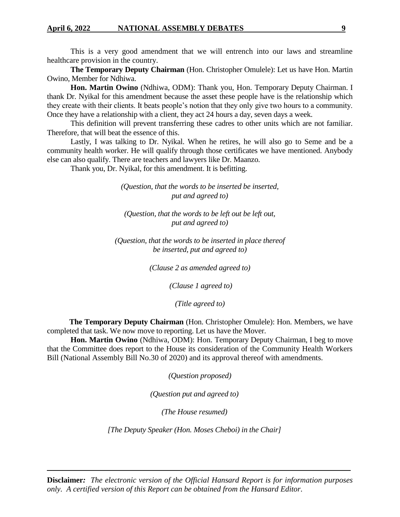This is a very good amendment that we will entrench into our laws and streamline healthcare provision in the country.

**The Temporary Deputy Chairman** (Hon. Christopher Omulele): Let us have Hon. Martin Owino, Member for Ndhiwa.

**Hon. Martin Owino** (Ndhiwa, ODM): Thank you, Hon. Temporary Deputy Chairman. I thank Dr. Nyikal for this amendment because the asset these people have is the relationship which they create with their clients. It beats people's notion that they only give two hours to a community. Once they have a relationship with a client, they act 24 hours a day, seven days a week.

This definition will prevent transferring these cadres to other units which are not familiar. Therefore, that will beat the essence of this.

Lastly, I was talking to Dr. Nyikal. When he retires, he will also go to Seme and be a community health worker. He will qualify through those certificates we have mentioned. Anybody else can also qualify. There are teachers and lawyers like Dr. Maanzo.

Thank you, Dr. Nyikal, for this amendment. It is befitting.

*(Question, that the words to be inserted be inserted, put and agreed to)*

*(Question, that the words to be left out be left out, put and agreed to)*

*(Question, that the words to be inserted in place thereof be inserted, put and agreed to)*

*(Clause 2 as amended agreed to)*

*(Clause 1 agreed to)*

*(Title agreed to)*

 **The Temporary Deputy Chairman** (Hon. Christopher Omulele): Hon. Members, we have completed that task. We now move to reporting. Let us have the Mover.

 **Hon. Martin Owino** (Ndhiwa, ODM): Hon. Temporary Deputy Chairman, I beg to move that the Committee does report to the House its consideration of the Community Health Workers Bill (National Assembly Bill No.30 of 2020) and its approval thereof with amendments.

*(Question proposed)*

*(Question put and agreed to)*

*(The House resumed)*

*[The Deputy Speaker (Hon. Moses Cheboi) in the Chair]*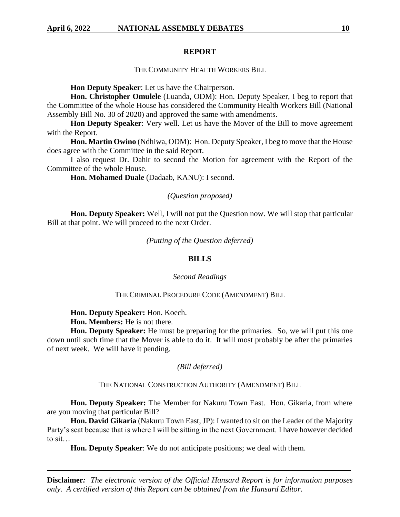#### **REPORT**

## THE COMMUNITY HEALTH WORKERS BILL

**Hon Deputy Speaker**: Let us have the Chairperson.

**Hon. Christopher Omulele** (Luanda, ODM): Hon. Deputy Speaker, I beg to report that the Committee of the whole House has considered the Community Health Workers Bill (National Assembly Bill No. 30 of 2020) and approved the same with amendments.

**Hon Deputy Speaker**: Very well. Let us have the Mover of the Bill to move agreement with the Report.

**Hon. Martin Owino** (Ndhiwa, ODM): Hon. Deputy Speaker, I beg to move that the House does agree with the Committee in the said Report.

I also request Dr. Dahir to second the Motion for agreement with the Report of the Committee of the whole House.

**Hon. Mohamed Duale** (Dadaab, KANU): I second.

## *(Question proposed)*

**Hon. Deputy Speaker:** Well, I will not put the Question now. We will stop that particular Bill at that point. We will proceed to the next Order.

*(Putting of the Question deferred)*

## **BILLS**

## *Second Readings*

## THE CRIMINAL PROCEDURE CODE (AMENDMENT) BILL

**Hon. Deputy Speaker:** Hon. Koech.

**Hon. Members:** He is not there.

**Hon. Deputy Speaker:** He must be preparing for the primaries. So, we will put this one down until such time that the Mover is able to do it. It will most probably be after the primaries of next week. We will have it pending.

#### *(Bill deferred)*

## THE NATIONAL CONSTRUCTION AUTHORITY (AMENDMENT) BILL

**Hon. Deputy Speaker:** The Member for Nakuru Town East. Hon. Gikaria, from where are you moving that particular Bill?

**Hon. David Gikaria** (Nakuru Town East, JP): I wanted to sit on the Leader of the Majority Party's seat because that is where I will be sitting in the next Government. I have however decided to sit…

**Hon. Deputy Speaker**: We do not anticipate positions; we deal with them.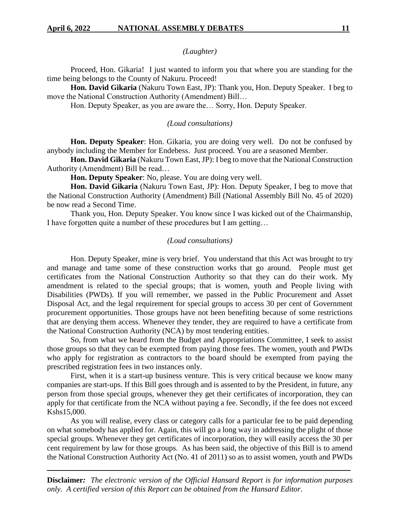#### *(Laughter)*

Proceed, Hon. Gikaria! I just wanted to inform you that where you are standing for the time being belongs to the County of Nakuru. Proceed!

**Hon. David Gikaria** (Nakuru Town East, JP): Thank you, Hon. Deputy Speaker. I beg to move the National Construction Authority (Amendment) Bill…

Hon. Deputy Speaker, as you are aware the… Sorry, Hon. Deputy Speaker.

## *(Loud consultations)*

**Hon. Deputy Speaker**: Hon. Gikaria, you are doing very well. Do not be confused by anybody including the Member for Endebess. Just proceed. You are a seasoned Member.

**Hon. David Gikaria** (Nakuru Town East, JP): I beg to move that the National Construction Authority (Amendment) Bill be read…

**Hon. Deputy Speaker**: No, please. You are doing very well.

**Hon. David Gikaria** (Nakuru Town East, JP): Hon. Deputy Speaker, I beg to move that the National Construction Authority (Amendment) Bill (National Assembly Bill No. 45 of 2020) be now read a Second Time.

Thank you, Hon. Deputy Speaker. You know since I was kicked out of the Chairmanship, I have forgotten quite a number of these procedures but I am getting…

## *(Loud consultations)*

Hon. Deputy Speaker, mine is very brief. You understand that this Act was brought to try and manage and tame some of these construction works that go around. People must get certificates from the National Construction Authority so that they can do their work. My amendment is related to the special groups; that is women, youth and People living with Disabilities (PWDs). If you will remember, we passed in the Public Procurement and Asset Disposal Act, and the legal requirement for special groups to access 30 per cent of Government procurement opportunities. Those groups have not been benefiting because of some restrictions that are denying them access. Whenever they tender, they are required to have a certificate from the National Construction Authority (NCA) by most tendering entities.

So, from what we heard from the Budget and Appropriations Committee, I seek to assist those groups so that they can be exempted from paying those fees. The women, youth and PWDs who apply for registration as contractors to the board should be exempted from paying the prescribed registration fees in two instances only.

First, when it is a start-up business venture. This is very critical because we know many companies are start-ups. If this Bill goes through and is assented to by the President, in future, any person from those special groups, whenever they get their certificates of incorporation, they can apply for that certificate from the NCA without paying a fee. Secondly, if the fee does not exceed Kshs15,000.

As you will realise, every class or category calls for a particular fee to be paid depending on what somebody has applied for. Again, this will go a long way in addressing the plight of those special groups. Whenever they get certificates of incorporation, they will easily access the 30 per cent requirement by law for those groups. As has been said, the objective of this Bill is to amend the National Construction Authority Act (No. 41 of 2011) so as to assist women, youth and PWDs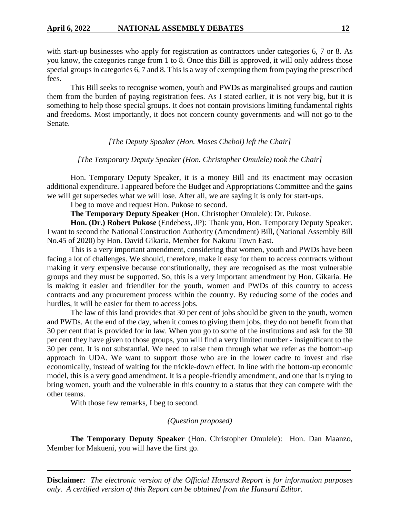with start-up businesses who apply for registration as contractors under categories 6, 7 or 8. As you know, the categories range from 1 to 8. Once this Bill is approved, it will only address those special groups in categories 6, 7 and 8. This is a way of exempting them from paying the prescribed fees.

This Bill seeks to recognise women, youth and PWDs as marginalised groups and caution them from the burden of paying registration fees. As I stated earlier, it is not very big, but it is something to help those special groups. It does not contain provisions limiting fundamental rights and freedoms. Most importantly, it does not concern county governments and will not go to the Senate.

## *[The Deputy Speaker (Hon. Moses Cheboi) left the Chair]*

## *[The Temporary Deputy Speaker (Hon. Christopher Omulele) took the Chair]*

Hon. Temporary Deputy Speaker, it is a money Bill and its enactment may occasion additional expenditure. I appeared before the Budget and Appropriations Committee and the gains we will get supersedes what we will lose. After all, we are saying it is only for start-ups.

I beg to move and request Hon. Pukose to second.

**The Temporary Deputy Speaker** (Hon. Christopher Omulele): Dr. Pukose.

**Hon. (Dr.) Robert Pukose** (Endebess, JP): Thank you, Hon. Temporary Deputy Speaker. I want to second the National Construction Authority (Amendment) Bill, (National Assembly Bill No.45 of 2020) by Hon. David Gikaria, Member for Nakuru Town East.

This is a very important amendment, considering that women, youth and PWDs have been facing a lot of challenges. We should, therefore, make it easy for them to access contracts without making it very expensive because constitutionally, they are recognised as the most vulnerable groups and they must be supported. So, this is a very important amendment by Hon. Gikaria. He is making it easier and friendlier for the youth, women and PWDs of this country to access contracts and any procurement process within the country. By reducing some of the codes and hurdles, it will be easier for them to access jobs.

The law of this land provides that 30 per cent of jobs should be given to the youth, women and PWDs. At the end of the day, when it comes to giving them jobs, they do not benefit from that 30 per cent that is provided for in law. When you go to some of the institutions and ask for the 30 per cent they have given to those groups, you will find a very limited number - insignificant to the 30 per cent. It is not substantial. We need to raise them through what we refer as the bottom-up approach in UDA. We want to support those who are in the lower cadre to invest and rise economically, instead of waiting for the trickle-down effect. In line with the bottom-up economic model, this is a very good amendment. It is a people-friendly amendment, and one that is trying to bring women, youth and the vulnerable in this country to a status that they can compete with the other teams.

With those few remarks, I beg to second.

## *(Question proposed)*

**The Temporary Deputy Speaker** (Hon. Christopher Omulele): Hon. Dan Maanzo, Member for Makueni, you will have the first go.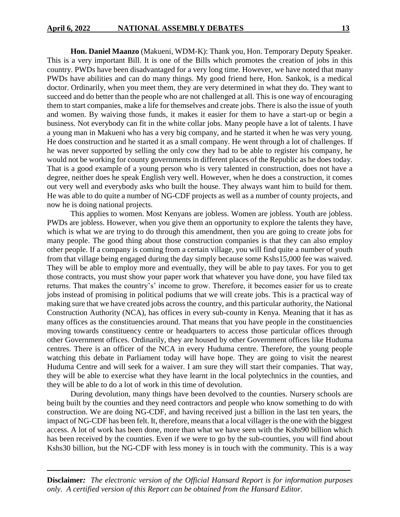**Hon. Daniel Maanzo** (Makueni, WDM-K): Thank you, Hon. Temporary Deputy Speaker. This is a very important Bill. It is one of the Bills which promotes the creation of jobs in this country. PWDs have been disadvantaged for a very long time. However, we have noted that many PWDs have abilities and can do many things. My good friend here, Hon. Sankok, is a medical doctor. Ordinarily, when you meet them, they are very determined in what they do. They want to succeed and do better than the people who are not challenged at all. This is one way of encouraging them to start companies, make a life for themselves and create jobs. There is also the issue of youth and women. By waiving those funds, it makes it easier for them to have a start-up or begin a business. Not everybody can fit in the white collar jobs. Many people have a lot of talents. I have a young man in Makueni who has a very big company, and he started it when he was very young. He does construction and he started it as a small company. He went through a lot of challenges. If he was never supported by selling the only cow they had to be able to register his company, he would not be working for county governments in different places of the Republic as he does today. That is a good example of a young person who is very talented in construction, does not have a degree, neither does he speak English very well. However, when he does a construction, it comes out very well and everybody asks who built the house. They always want him to build for them. He was able to do quite a number of NG-CDF projects as well as a number of county projects, and now he is doing national projects.

This applies to women. Most Kenyans are jobless. Women are jobless. Youth are jobless. PWDs are jobless. However, when you give them an opportunity to explore the talents they have, which is what we are trying to do through this amendment, then you are going to create jobs for many people. The good thing about those construction companies is that they can also employ other people. If a company is coming from a certain village, you will find quite a number of youth from that village being engaged during the day simply because some Kshs15,000 fee was waived. They will be able to employ more and eventually, they will be able to pay taxes. For you to get those contracts, you must show your paper work that whatever you have done, you have filed tax returns. That makes the country's' income to grow. Therefore, it becomes easier for us to create jobs instead of promising in political podiums that we will create jobs. This is a practical way of making sure that we have created jobs across the country, and this particular authority, the National Construction Authority (NCA), has offices in every sub-county in Kenya. Meaning that it has as many offices as the constituencies around. That means that you have people in the constituencies moving towards constituency centre or headquarters to access those particular offices through other Government offices. Ordinarily, they are housed by other Government offices like Huduma centres. There is an officer of the NCA in every Huduma centre. Therefore, the young people watching this debate in Parliament today will have hope. They are going to visit the nearest Huduma Centre and will seek for a waiver. I am sure they will start their companies. That way, they will be able to exercise what they have learnt in the local polytechnics in the counties, and they will be able to do a lot of work in this time of devolution.

During devolution, many things have been devolved to the counties. Nursery schools are being built by the counties and they need contractors and people who know something to do with construction. We are doing NG-CDF, and having received just a billion in the last ten years, the impact of NG-CDF has been felt. It, therefore, means that a local villager is the one with the biggest access. A lot of work has been done, more than what we have seen with the Kshs90 billion which has been received by the counties. Even if we were to go by the sub-counties, you will find about Kshs30 billion, but the NG-CDF with less money is in touch with the community. This is a way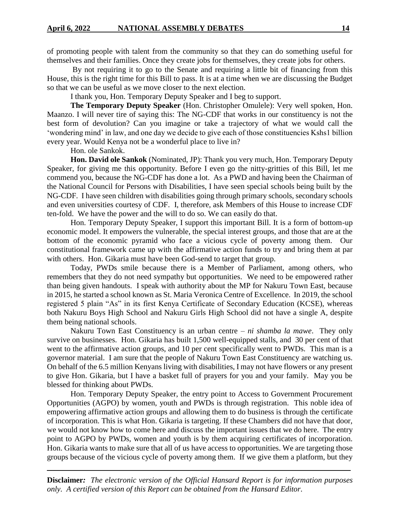of promoting people with talent from the community so that they can do something useful for themselves and their families. Once they create jobs for themselves, they create jobs for others.

By not requiring it to go to the Senate and requiring a little bit of financing from this House, this is the right time for this Bill to pass. It is at a time when we are discussing the Budget so that we can be useful as we move closer to the next election.

I thank you, Hon. Temporary Deputy Speaker and I beg to support.

**The Temporary Deputy Speaker** (Hon. Christopher Omulele): Very well spoken, Hon. Maanzo. I will never tire of saying this: The NG-CDF that works in our constituency is not the best form of devolution? Can you imagine or take a trajectory of what we would call the 'wondering mind' in law, and one day we decide to give each of those constituencies Kshs1 billion every year. Would Kenya not be a wonderful place to live in?

Hon. ole Sankok.

**Hon. David ole Sankok** (Nominated, JP): Thank you very much, Hon. Temporary Deputy Speaker, for giving me this opportunity. Before I even go the nitty-gritties of this Bill, let me commend you, because the NG-CDF has done a lot. As a PWD and having been the Chairman of the National Council for Persons with Disabilities, I have seen special schools being built by the NG-CDF. I have seen children with disabilities going through primary schools, secondary schools and even universities courtesy of CDF. I, therefore, ask Members of this House to increase CDF ten-fold. We have the power and the will to do so. We can easily do that.

Hon. Temporary Deputy Speaker, I support this important Bill. It is a form of bottom-up economic model. It empowers the vulnerable, the special interest groups, and those that are at the bottom of the economic pyramid who face a vicious cycle of poverty among them. Our constitutional framework came up with the affirmative action funds to try and bring them at par with others. Hon. Gikaria must have been God-send to target that group.

Today, PWDs smile because there is a Member of Parliament, among others, who remembers that they do not need sympathy but opportunities. We need to be empowered rather than being given handouts. I speak with authority about the MP for Nakuru Town East, because in 2015, he started a school known as St. Maria Veronica Centre of Excellence. In 2019, the school registered 5 plain "As" in its first Kenya Certificate of Secondary Education (KCSE), whereas both Nakuru Boys High School and Nakuru Girls High School did not have a single A, despite them being national schools.

Nakuru Town East Constituency is an urban centre – *ni shamba la mawe*. They only survive on businesses. Hon. Gikaria has built 1,500 well-equipped stalls, and 30 per cent of that went to the affirmative action groups, and 10 per cent specifically went to PWDs. This man is a governor material. I am sure that the people of Nakuru Town East Constituency are watching us. On behalf of the 6.5 million Kenyans living with disabilities, I may not have flowers or any present to give Hon. Gikaria, but I have a basket full of prayers for you and your family. May you be blessed for thinking about PWDs.

Hon. Temporary Deputy Speaker, the entry point to Access to Government Procurement Opportunities (AGPO) by women, youth and PWDs is through registration. This noble idea of empowering affirmative action groups and allowing them to do business is through the certificate of incorporation. This is what Hon. Gikaria is targeting. If these Chambers did not have that door, we would not know how to come here and discuss the important issues that we do here. The entry point to AGPO by PWDs, women and youth is by them acquiring certificates of incorporation. Hon. Gikaria wants to make sure that all of us have access to opportunities. We are targeting those groups because of the vicious cycle of poverty among them. If we give them a platform, but they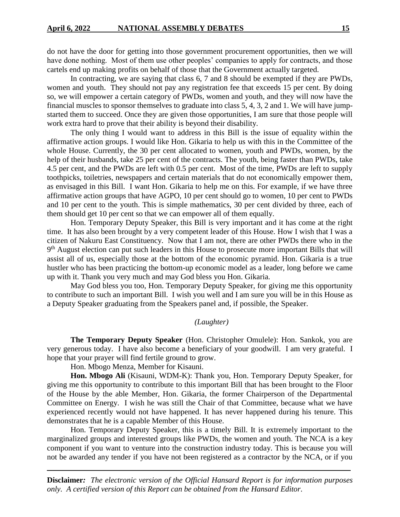do not have the door for getting into those government procurement opportunities, then we will have done nothing. Most of them use other peoples' companies to apply for contracts, and those cartels end up making profits on behalf of those that the Government actually targeted.

In contracting, we are saying that class 6, 7 and 8 should be exempted if they are PWDs, women and youth. They should not pay any registration fee that exceeds 15 per cent. By doing so, we will empower a certain category of PWDs, women and youth, and they will now have the financial muscles to sponsor themselves to graduate into class 5, 4, 3, 2 and 1. We will have jumpstarted them to succeed. Once they are given those opportunities, I am sure that those people will work extra hard to prove that their ability is beyond their disability.

The only thing I would want to address in this Bill is the issue of equality within the affirmative action groups. I would like Hon. Gikaria to help us with this in the Committee of the whole House. Currently, the 30 per cent allocated to women, youth and PWDs, women, by the help of their husbands, take 25 per cent of the contracts. The youth, being faster than PWDs, take 4.5 per cent, and the PWDs are left with 0.5 per cent. Most of the time, PWDs are left to supply toothpicks, toiletries, newspapers and certain materials that do not economically empower them, as envisaged in this Bill. I want Hon. Gikaria to help me on this. For example, if we have three affirmative action groups that have AGPO, 10 per cent should go to women, 10 per cent to PWDs and 10 per cent to the youth. This is simple mathematics, 30 per cent divided by three, each of them should get 10 per cent so that we can empower all of them equally.

Hon. Temporary Deputy Speaker, this Bill is very important and it has come at the right time. It has also been brought by a very competent leader of this House. How I wish that I was a citizen of Nakuru East Constituency. Now that I am not, there are other PWDs there who in the 9<sup>th</sup> August election can put such leaders in this House to prosecute more important Bills that will assist all of us, especially those at the bottom of the economic pyramid. Hon. Gikaria is a true hustler who has been practicing the bottom-up economic model as a leader, long before we came up with it. Thank you very much and may God bless you Hon. Gikaria.

May God bless you too, Hon. Temporary Deputy Speaker, for giving me this opportunity to contribute to such an important Bill. I wish you well and I am sure you will be in this House as a Deputy Speaker graduating from the Speakers panel and, if possible, the Speaker.

## *(Laughter)*

**The Temporary Deputy Speaker** (Hon. Christopher Omulele): Hon. Sankok, you are very generous today. I have also become a beneficiary of your goodwill. I am very grateful. I hope that your prayer will find fertile ground to grow.

Hon. Mbogo Menza, Member for Kisauni.

**Hon. Mbogo Ali** (Kisauni, WDM-K): Thank you, Hon. Temporary Deputy Speaker, for giving me this opportunity to contribute to this important Bill that has been brought to the Floor of the House by the able Member, Hon. Gikaria, the former Chairperson of the Departmental Committee on Energy. I wish he was still the Chair of that Committee, because what we have experienced recently would not have happened. It has never happened during his tenure. This demonstrates that he is a capable Member of this House.

Hon. Temporary Deputy Speaker, this is a timely Bill. It is extremely important to the marginalized groups and interested groups like PWDs, the women and youth. The NCA is a key component if you want to venture into the construction industry today. This is because you will not be awarded any tender if you have not been registered as a contractor by the NCA, or if you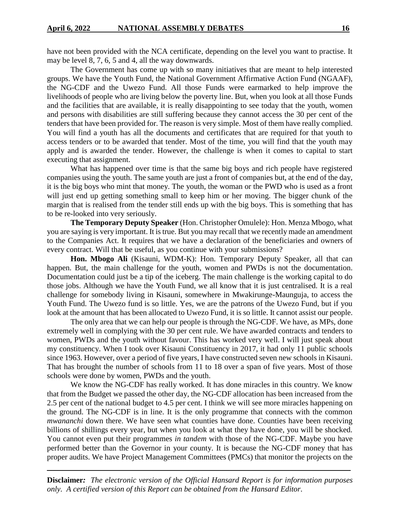have not been provided with the NCA certificate, depending on the level you want to practise. It may be level 8, 7, 6, 5 and 4, all the way downwards.

The Government has come up with so many initiatives that are meant to help interested groups. We have the Youth Fund, the National Government Affirmative Action Fund (NGAAF), the NG-CDF and the Uwezo Fund. All those Funds were earmarked to help improve the livelihoods of people who are living below the poverty line. But, when you look at all those Funds and the facilities that are available, it is really disappointing to see today that the youth, women and persons with disabilities are still suffering because they cannot access the 30 per cent of the tenders that have been provided for. The reason is very simple. Most of them have really complied. You will find a youth has all the documents and certificates that are required for that youth to access tenders or to be awarded that tender. Most of the time, you will find that the youth may apply and is awarded the tender. However, the challenge is when it comes to capital to start executing that assignment.

What has happened over time is that the same big boys and rich people have registered companies using the youth. The same youth are just a front of companies but, at the end of the day, it is the big boys who mint that money. The youth, the woman or the PWD who is used as a front will just end up getting something small to keep him or her moving. The bigger chunk of the margin that is realised from the tender still ends up with the big boys. This is something that has to be re-looked into very seriously.

**The Temporary Deputy Speaker** (Hon. Christopher Omulele): Hon. Menza Mbogo, what you are saying is very important. It is true. But you may recall that we recently made an amendment to the Companies Act. It requires that we have a declaration of the beneficiaries and owners of every contract. Will that be useful, as you continue with your submissions?

**Hon. Mbogo Ali** (Kisauni, WDM-K): Hon. Temporary Deputy Speaker, all that can happen. But, the main challenge for the youth, women and PWDs is not the documentation. Documentation could just be a tip of the iceberg. The main challenge is the working capital to do those jobs. Although we have the Youth Fund, we all know that it is just centralised. It is a real challenge for somebody living in Kisauni, somewhere in Mwakirunge-Maunguja, to access the Youth Fund. The Uwezo fund is so little. Yes, we are the patrons of the Uwezo Fund, but if you look at the amount that has been allocated to Uwezo Fund, it is so little. It cannot assist our people.

The only area that we can help our people is through the NG-CDF. We have, as MPs, done extremely well in complying with the 30 per cent rule. We have awarded contracts and tenders to women, PWDs and the youth without favour. This has worked very well. I will just speak about my constituency. When I took over Kisauni Constituency in 2017, it had only 11 public schools since 1963. However, over a period of five years, I have constructed seven new schools in Kisauni. That has brought the number of schools from 11 to 18 over a span of five years. Most of those schools were done by women, PWDs and the youth.

We know the NG-CDF has really worked. It has done miracles in this country. We know that from the Budget we passed the other day, the NG-CDF allocation has been increased from the 2.5 per cent of the national budget to 4.5 per cent. I think we will see more miracles happening on the ground. The NG-CDF is in line. It is the only programme that connects with the common *mwananchi* down there. We have seen what counties have done. Counties have been receiving billions of shillings every year, but when you look at what they have done, you will be shocked. You cannot even put their programmes *in tandem* with those of the NG-CDF. Maybe you have performed better than the Governor in your county. It is because the NG-CDF money that has proper audits. We have Project Management Committees (PMCs) that monitor the projects on the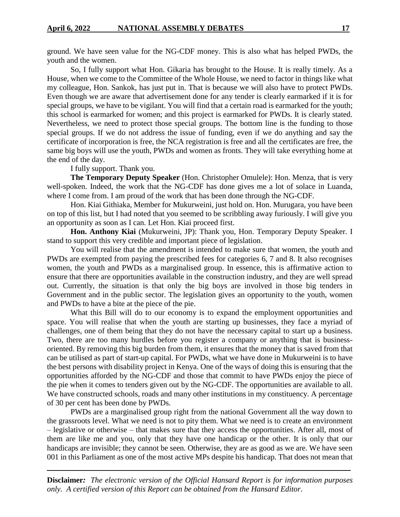ground. We have seen value for the NG-CDF money. This is also what has helped PWDs, the youth and the women.

So, I fully support what Hon. Gikaria has brought to the House. It is really timely. As a House, when we come to the Committee of the Whole House, we need to factor in things like what my colleague, Hon. Sankok, has just put in. That is because we will also have to protect PWDs. Even though we are aware that advertisement done for any tender is clearly earmarked if it is for special groups, we have to be vigilant. You will find that a certain road is earmarked for the youth; this school is earmarked for women; and this project is earmarked for PWDs. It is clearly stated. Nevertheless, we need to protect those special groups. The bottom line is the funding to those special groups. If we do not address the issue of funding, even if we do anything and say the certificate of incorporation is free, the NCA registration is free and all the certificates are free, the same big boys will use the youth, PWDs and women as fronts. They will take everything home at the end of the day.

I fully support. Thank you.

**The Temporary Deputy Speaker** (Hon. Christopher Omulele): Hon. Menza, that is very well-spoken. Indeed, the work that the NG-CDF has done gives me a lot of solace in Luanda, where I come from. I am proud of the work that has been done through the NG-CDF.

Hon. Kiai Githiaka, Member for Mukurweini, just hold on. Hon. Murugara, you have been on top of this list, but I had noted that you seemed to be scribbling away furiously. I will give you an opportunity as soon as I can. Let Hon. Kiai proceed first.

**Hon. Anthony Kiai** (Mukurweini, JP): Thank you, Hon. Temporary Deputy Speaker. I stand to support this very credible and important piece of legislation.

You will realise that the amendment is intended to make sure that women, the youth and PWDs are exempted from paying the prescribed fees for categories 6, 7 and 8. It also recognises women, the youth and PWDs as a marginalised group. In essence, this is affirmative action to ensure that there are opportunities available in the construction industry, and they are well spread out. Currently, the situation is that only the big boys are involved in those big tenders in Government and in the public sector. The legislation gives an opportunity to the youth, women and PWDs to have a bite at the piece of the pie.

What this Bill will do to our economy is to expand the employment opportunities and space. You will realise that when the youth are starting up businesses, they face a myriad of challenges, one of them being that they do not have the necessary capital to start up a business. Two, there are too many hurdles before you register a company or anything that is businessoriented. By removing this big burden from them, it ensures that the money that is saved from that can be utilised as part of start-up capital. For PWDs, what we have done in Mukurweini is to have the best persons with disability project in Kenya. One of the ways of doing this is ensuring that the opportunities afforded by the NG-CDF and those that commit to have PWDs enjoy the piece of the pie when it comes to tenders given out by the NG-CDF. The opportunities are available to all. We have constructed schools, roads and many other institutions in my constituency. A percentage of 30 per cent has been done by PWDs.

PWDs are a marginalised group right from the national Government all the way down to the grassroots level. What we need is not to pity them. What we need is to create an environment – legislative or otherwise – that makes sure that they access the opportunities. After all, most of them are like me and you, only that they have one handicap or the other. It is only that our handicaps are invisible; they cannot be seen. Otherwise, they are as good as we are. We have seen 001 in this Parliament as one of the most active MPs despite his handicap. That does not mean that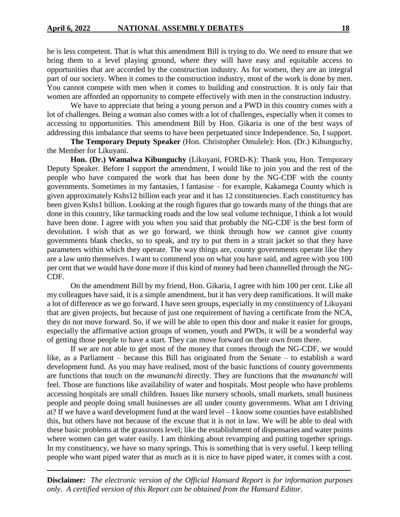he is less competent. That is what this amendment Bill is trying to do. We need to ensure that we bring them to a level playing ground, where they will have easy and equitable access to opportunities that are accorded by the construction industry. As for women, they are an integral part of our society. When it comes to the construction industry, most of the work is done by men. You cannot compete with men when it comes to building and construction. It is only fair that women are afforded an opportunity to compete effectively with men in the construction industry.

We have to appreciate that being a young person and a PWD in this country comes with a lot of challenges. Being a woman also comes with a lot of challenges, especially when it comes to accessing to opportunities. This amendment Bill by Hon. Gikaria is one of the best ways of addressing this imbalance that seems to have been perpetuated since Independence. So, I support.

**The Temporary Deputy Speaker** (Hon. Christopher Omulele): Hon. (Dr.) Kibunguchy, the Member for Likuyani.

**Hon. (Dr.) Wamalwa Kibunguchy** (Likuyani, FORD-K): Thank you, Hon. Temporary Deputy Speaker. Before I support the amendment, I would like to join you and the rest of the people who have compared the work that has been done by the NG-CDF with the county governments. Sometimes in my fantasies, I fantasise – for example, Kakamega County which is given approximately Kshs12 billion each year and it has 12 constituencies. Each constituency has been given Kshs1 billion. Looking at the rough figures that go towards many of the things that are done in this country, like tarmacking roads and the low seal volume technique, I think a lot would have been done. I agree with you when you said that probably the NG-CDF is the best form of devolution. I wish that as we go forward, we think through how we cannot give county governments blank checks, so to speak, and try to put them in a strait jacket so that they have parameters within which they operate. The way things are, county governments operate like they are a law unto themselves. I want to commend you on what you have said, and agree with you 100 per cent that we would have done more if this kind of money had been channelled through the NG-CDF.

On the amendment Bill by my friend, Hon. Gikaria, I agree with him 100 per cent. Like all my colleagues have said, it is a simple amendment, but it has very deep ramifications. It will make a lot of difference as we go forward. I have seen groups, especially in my constituency of Likuyani that are given projects, but because of just one requirement of having a certificate from the NCA, they do not move forward. So, if we will be able to open this door and make it easier for groups, especially the affirmative action groups of women, youth and PWDs, it will be a wonderful way of getting those people to have a start. They can move forward on their own from there.

If we are not able to get most of the money that comes through the NG-CDF, we would like, as a Parliament – because this Bill has originated from the Senate – to establish a ward development fund. As you may have realised, most of the basic functions of county governments are functions that touch on the *mwananchi* directly. They are functions that the *mwananchi* will feel. Those are functions like availability of water and hospitals. Most people who have problems accessing hospitals are small children. Issues like nursery schools, small markets, small business people and people doing small businesses are all under county governments. What am I driving at? If we have a ward development fund at the ward level – I know some counties have established this, but others have not because of the excuse that it is not in law. We will be able to deal with these basic problems at the grassroots level; like the establishment of dispensaries and water points where women can get water easily. I am thinking about revamping and putting together springs. In my constituency, we have so many springs. This is something that is very useful. I keep telling people who want piped water that as much as it is nice to have piped water, it comes with a cost.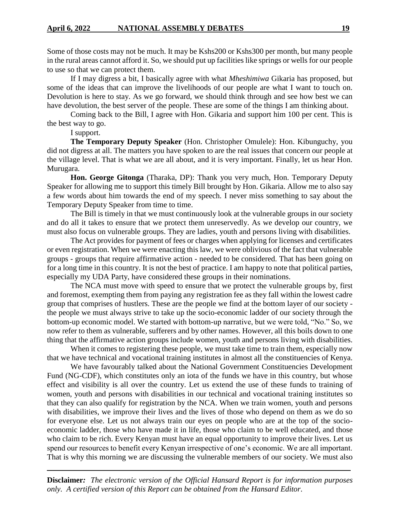Some of those costs may not be much. It may be Kshs200 or Kshs300 per month, but many people in the rural areas cannot afford it. So, we should put up facilities like springs or wells for our people to use so that we can protect them.

If I may digress a bit, I basically agree with what *Mheshimiwa* Gikaria has proposed, but some of the ideas that can improve the livelihoods of our people are what I want to touch on. Devolution is here to stay. As we go forward, we should think through and see how best we can have devolution, the best server of the people. These are some of the things I am thinking about.

Coming back to the Bill, I agree with Hon. Gikaria and support him 100 per cent. This is the best way to go.

I support.

**The Temporary Deputy Speaker** (Hon. Christopher Omulele): Hon. Kibunguchy, you did not digress at all. The matters you have spoken to are the real issues that concern our people at the village level. That is what we are all about, and it is very important. Finally, let us hear Hon. Murugara.

**Hon. George Gitonga** (Tharaka, DP): Thank you very much, Hon. Temporary Deputy Speaker for allowing me to support this timely Bill brought by Hon. Gikaria. Allow me to also say a few words about him towards the end of my speech. I never miss something to say about the Temporary Deputy Speaker from time to time.

The Bill is timely in that we must continuously look at the vulnerable groups in our society and do all it takes to ensure that we protect them unreservedly. As we develop our country, we must also focus on vulnerable groups. They are ladies, youth and persons living with disabilities.

The Act provides for payment of fees or charges when applying for licenses and certificates or even registration. When we were enacting this law, we were oblivious of the fact that vulnerable groups - groups that require affirmative action - needed to be considered. That has been going on for a long time in this country. It is not the best of practice. I am happy to note that political parties, especially my UDA Party, have considered these groups in their nominations.

The NCA must move with speed to ensure that we protect the vulnerable groups by, first and foremost, exempting them from paying any registration fee as they fall within the lowest cadre group that comprises of hustlers. These are the people we find at the bottom layer of our society the people we must always strive to take up the socio-economic ladder of our society through the bottom-up economic model. We started with bottom-up narrative, but we were told, "No." So, we now refer to them as vulnerable, sufferers and by other names. However, all this boils down to one thing that the affirmative action groups include women, youth and persons living with disabilities.

When it comes to registering these people, we must take time to train them, especially now that we have technical and vocational training institutes in almost all the constituencies of Kenya.

We have favourably talked about the National Government Constituencies Development Fund (NG-CDF), which constitutes only an iota of the funds we have in this country, but whose effect and visibility is all over the country. Let us extend the use of these funds to training of women, youth and persons with disabilities in our technical and vocational training institutes so that they can also qualify for registration by the NCA. When we train women, youth and persons with disabilities, we improve their lives and the lives of those who depend on them as we do so for everyone else. Let us not always train our eyes on people who are at the top of the socioeconomic ladder, those who have made it in life, those who claim to be well educated, and those who claim to be rich. Every Kenyan must have an equal opportunity to improve their lives. Let us spend our resources to benefit every Kenyan irrespective of one's economic. We are all important. That is why this morning we are discussing the vulnerable members of our society. We must also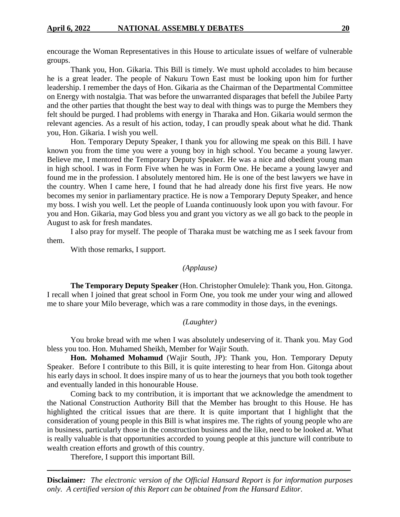encourage the Woman Representatives in this House to articulate issues of welfare of vulnerable groups.

Thank you, Hon. Gikaria. This Bill is timely. We must uphold accolades to him because he is a great leader. The people of Nakuru Town East must be looking upon him for further leadership. I remember the days of Hon. Gikaria as the Chairman of the Departmental Committee on Energy with nostalgia. That was before the unwarranted disparages that befell the Jubilee Party and the other parties that thought the best way to deal with things was to purge the Members they felt should be purged. I had problems with energy in Tharaka and Hon. Gikaria would sermon the relevant agencies. As a result of his action, today, I can proudly speak about what he did. Thank you, Hon. Gikaria. I wish you well.

Hon. Temporary Deputy Speaker, I thank you for allowing me speak on this Bill. I have known you from the time you were a young boy in high school. You became a young lawyer. Believe me, I mentored the Temporary Deputy Speaker. He was a nice and obedient young man in high school. I was in Form Five when he was in Form One. He became a young lawyer and found me in the profession. I absolutely mentored him. He is one of the best lawyers we have in the country. When I came here, I found that he had already done his first five years. He now becomes my senior in parliamentary practice. He is now a Temporary Deputy Speaker, and hence my boss. I wish you well. Let the people of Luanda continuously look upon you with favour. For you and Hon. Gikaria, may God bless you and grant you victory as we all go back to the people in August to ask for fresh mandates.

I also pray for myself. The people of Tharaka must be watching me as I seek favour from them.

With those remarks, I support.

## *(Applause)*

**The Temporary Deputy Speaker** (Hon. Christopher Omulele): Thank you, Hon. Gitonga. I recall when I joined that great school in Form One, you took me under your wing and allowed me to share your Milo beverage, which was a rare commodity in those days, in the evenings.

## *(Laughter)*

You broke bread with me when I was absolutely undeserving of it. Thank you. May God bless you too. Hon. Muhamed Sheikh, Member for Wajir South.

**Hon. Mohamed Mohamud** (Wajir South, JP): Thank you, Hon. Temporary Deputy Speaker. Before I contribute to this Bill, it is quite interesting to hear from Hon. Gitonga about his early days in school. It does inspire many of us to hear the journeys that you both took together and eventually landed in this honourable House.

Coming back to my contribution, it is important that we acknowledge the amendment to the National Construction Authority Bill that the Member has brought to this House. He has highlighted the critical issues that are there. It is quite important that I highlight that the consideration of young people in this Bill is what inspires me. The rights of young people who are in business, particularly those in the construction business and the like, need to be looked at. What is really valuable is that opportunities accorded to young people at this juncture will contribute to wealth creation efforts and growth of this country.

Therefore, I support this important Bill.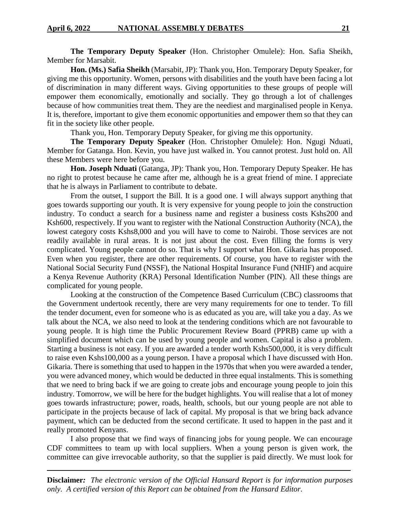**The Temporary Deputy Speaker** (Hon. Christopher Omulele): Hon. Safia Sheikh, Member for Marsabit.

**Hon. (Ms.) Safia Sheikh** (Marsabit, JP): Thank you, Hon. Temporary Deputy Speaker, for giving me this opportunity. Women, persons with disabilities and the youth have been facing a lot of discrimination in many different ways. Giving opportunities to these groups of people will empower them economically, emotionally and socially. They go through a lot of challenges because of how communities treat them. They are the neediest and marginalised people in Kenya. It is, therefore, important to give them economic opportunities and empower them so that they can fit in the society like other people.

Thank you, Hon. Temporary Deputy Speaker, for giving me this opportunity.

**The Temporary Deputy Speaker** (Hon. Christopher Omulele): Hon. Ngugi Nduati, Member for Gatanga. Hon. Kevin, you have just walked in. You cannot protest. Just hold on. All these Members were here before you.

**Hon. Joseph Nduati** (Gatanga, JP): Thank you, Hon. Temporary Deputy Speaker. He has no right to protest because he came after me, although he is a great friend of mine. I appreciate that he is always in Parliament to contribute to debate.

From the outset, I support the Bill. It is a good one. I will always support anything that goes towards supporting our youth. It is very expensive for young people to join the construction industry. To conduct a search for a business name and register a business costs Kshs200 and Ksh600, respectively. If you want to register with the National Construction Authority (NCA), the lowest category costs Kshs8,000 and you will have to come to Nairobi. Those services are not readily available in rural areas. It is not just about the cost. Even filling the forms is very complicated. Young people cannot do so. That is why I support what Hon. Gikaria has proposed. Even when you register, there are other requirements. Of course, you have to register with the National Social Security Fund (NSSF), the National Hospital Insurance Fund (NHIF) and acquire a Kenya Revenue Authority (KRA) Personal Identification Number (PIN). All these things are complicated for young people.

Looking at the construction of the Competence Based Curriculum (CBC) classrooms that the Government undertook recently, there are very many requirements for one to tender. To fill the tender document, even for someone who is as educated as you are, will take you a day. As we talk about the NCA, we also need to look at the tendering conditions which are not favourable to young people. It is high time the Public Procurement Review Board (PPRB) came up with a simplified document which can be used by young people and women. Capital is also a problem. Starting a business is not easy. If you are awarded a tender worth Kshs500,000, it is very difficult to raise even Kshs100,000 as a young person. I have a proposal which I have discussed with Hon. Gikaria. There is something that used to happen in the 1970s that when you were awarded a tender, you were advanced money, which would be deducted in three equal instalments. This is something that we need to bring back if we are going to create jobs and encourage young people to join this industry. Tomorrow, we will be here for the budget highlights. You will realise that a lot of money goes towards infrastructure; power, roads, health, schools, but our young people are not able to participate in the projects because of lack of capital. My proposal is that we bring back advance payment, which can be deducted from the second certificate. It used to happen in the past and it really promoted Kenyans.

I also propose that we find ways of financing jobs for young people. We can encourage CDF committees to team up with local suppliers. When a young person is given work, the committee can give irrevocable authority, so that the supplier is paid directly. We must look for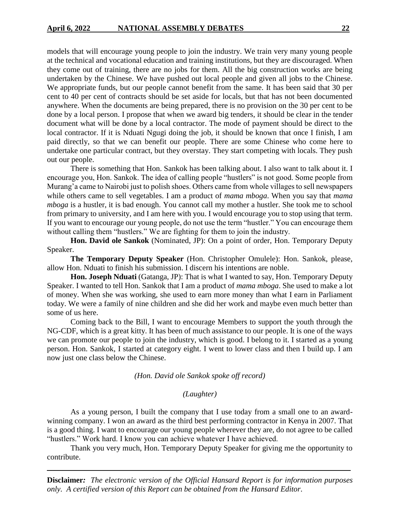models that will encourage young people to join the industry. We train very many young people at the technical and vocational education and training institutions, but they are discouraged. When they come out of training, there are no jobs for them. All the big construction works are being undertaken by the Chinese. We have pushed out local people and given all jobs to the Chinese. We appropriate funds, but our people cannot benefit from the same. It has been said that 30 per cent to 40 per cent of contracts should be set aside for locals, but that has not been documented anywhere. When the documents are being prepared, there is no provision on the 30 per cent to be done by a local person. I propose that when we award big tenders, it should be clear in the tender document what will be done by a local contractor. The mode of payment should be direct to the local contractor. If it is Nduati Ngugi doing the job, it should be known that once I finish, I am paid directly, so that we can benefit our people. There are some Chinese who come here to undertake one particular contract, but they overstay. They start competing with locals. They push out our people.

There is something that Hon. Sankok has been talking about. I also want to talk about it. I encourage you, Hon. Sankok. The idea of calling people "hustlers" is not good. Some people from Murang'a came to Nairobi just to polish shoes. Others came from whole villages to sell newspapers while others came to sell vegetables. I am a product of *mama mboga*. When you say that *mama mboga* is a hustler, it is bad enough. You cannot call my mother a hustler. She took me to school from primary to university, and I am here with you. I would encourage you to stop using that term. If you want to encourage our young people, do not use the term "hustler." You can encourage them without calling them "hustlers." We are fighting for them to join the industry.

**Hon. David ole Sankok** (Nominated, JP): On a point of order, Hon. Temporary Deputy Speaker.

**The Temporary Deputy Speaker** (Hon. Christopher Omulele): Hon. Sankok, please, allow Hon. Nduati to finish his submission. I discern his intentions are noble.

**Hon. Joseph Nduati** (Gatanga, JP): That is what I wanted to say, Hon. Temporary Deputy Speaker. I wanted to tell Hon. Sankok that I am a product of *mama mboga*. She used to make a lot of money. When she was working, she used to earn more money than what I earn in Parliament today. We were a family of nine children and she did her work and maybe even much better than some of us here.

Coming back to the Bill, I want to encourage Members to support the youth through the NG-CDF, which is a great kitty. It has been of much assistance to our people. It is one of the ways we can promote our people to join the industry, which is good. I belong to it. I started as a young person. Hon. Sankok, I started at category eight. I went to lower class and then I build up. I am now just one class below the Chinese.

*(Hon. David ole Sankok spoke off record)*

#### *(Laughter)*

As a young person, I built the company that I use today from a small one to an awardwinning company. I won an award as the third best performing contractor in Kenya in 2007. That is a good thing. I want to encourage our young people wherever they are, do not agree to be called "hustlers." Work hard. I know you can achieve whatever I have achieved.

Thank you very much, Hon. Temporary Deputy Speaker for giving me the opportunity to contribute.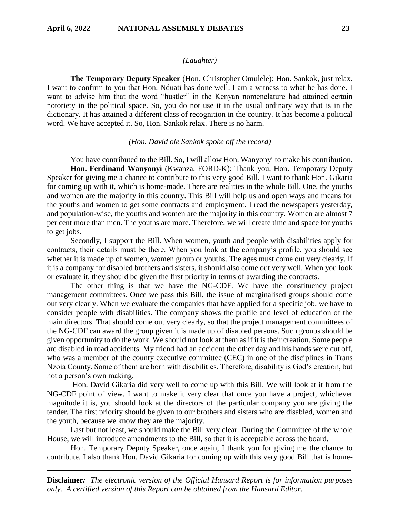## *(Laughter)*

**The Temporary Deputy Speaker** (Hon. Christopher Omulele): Hon. Sankok, just relax. I want to confirm to you that Hon. Nduati has done well. I am a witness to what he has done. I want to advise him that the word "hustler" in the Kenyan nomenclature had attained certain notoriety in the political space. So, you do not use it in the usual ordinary way that is in the dictionary. It has attained a different class of recognition in the country. It has become a political word. We have accepted it. So, Hon. Sankok relax. There is no harm.

#### *(Hon. David ole Sankok spoke off the record)*

You have contributed to the Bill. So, I will allow Hon. Wanyonyi to make his contribution. **Hon. Ferdinand Wanyonyi** (Kwanza, FORD-K): Thank you, Hon. Temporary Deputy Speaker for giving me a chance to contribute to this very good Bill. I want to thank Hon. Gikaria for coming up with it, which is home-made. There are realities in the whole Bill. One, the youths and women are the majority in this country. This Bill will help us and open ways and means for the youths and women to get some contracts and employment. I read the newspapers yesterday, and population-wise, the youths and women are the majority in this country. Women are almost 7 per cent more than men. The youths are more. Therefore, we will create time and space for youths to get jobs.

Secondly, I support the Bill. When women, youth and people with disabilities apply for contracts, their details must be there. When you look at the company's profile, you should see whether it is made up of women, women group or youths. The ages must come out very clearly. If it is a company for disabled brothers and sisters, it should also come out very well. When you look or evaluate it, they should be given the first priority in terms of awarding the contracts.

The other thing is that we have the NG-CDF. We have the constituency project management committees. Once we pass this Bill, the issue of marginalised groups should come out very clearly. When we evaluate the companies that have applied for a specific job, we have to consider people with disabilities. The company shows the profile and level of education of the main directors. That should come out very clearly, so that the project management committees of the NG-CDF can award the group given it is made up of disabled persons. Such groups should be given opportunity to do the work. We should not look at them as if it is their creation. Some people are disabled in road accidents. My friend had an accident the other day and his hands were cut off, who was a member of the county executive committee (CEC) in one of the disciplines in Trans Nzoia County. Some of them are born with disabilities. Therefore, disability is God's creation, but not a person's own making.

Hon. David Gikaria did very well to come up with this Bill. We will look at it from the NG-CDF point of view. I want to make it very clear that once you have a project, whichever magnitude it is, you should look at the directors of the particular company you are giving the tender. The first priority should be given to our brothers and sisters who are disabled, women and the youth, because we know they are the majority.

Last but not least, we should make the Bill very clear. During the Committee of the whole House, we will introduce amendments to the Bill, so that it is acceptable across the board.

Hon. Temporary Deputy Speaker, once again, I thank you for giving me the chance to contribute. I also thank Hon. David Gikaria for coming up with this very good Bill that is home-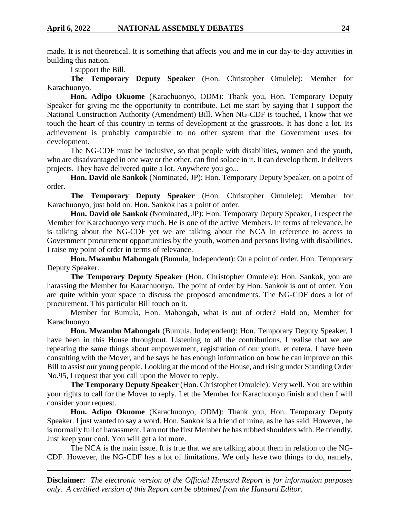made. It is not theoretical. It is something that affects you and me in our day-to-day activities in building this nation.

I support the Bill.

**The Temporary Deputy Speaker** (Hon. Christopher Omulele): Member for Karachuonyo.

**Hon. Adipo Okuome** (Karachuonyo, ODM): Thank you, Hon. Temporary Deputy Speaker for giving me the opportunity to contribute. Let me start by saying that I support the National Construction Authority (Amendment) Bill. When NG-CDF is touched, I know that we touch the heart of this country in terms of development at the grassroots. It has done a lot. Its achievement is probably comparable to no other system that the Government uses for development.

The NG-CDF must be inclusive, so that people with disabilities, women and the youth, who are disadvantaged in one way or the other, can find solace in it. It can develop them. It delivers projects. They have delivered quite a lot. Anywhere you go...

**Hon. David ole Sankok** (Nominated, JP): Hon. Temporary Deputy Speaker, on a point of order.

**The Temporary Deputy Speaker** (Hon. Christopher Omulele): Member for Karachuonyo, just hold on. Hon. Sankok has a point of order.

**Hon. David ole Sankok** (Nominated, JP): Hon. Temporary Deputy Speaker, I respect the Member for Karachuonyo very much. He is one of the active Members. In terms of relevance, he is talking about the NG-CDF yet we are talking about the NCA in reference to access to Government procurement opportunities by the youth, women and persons living with disabilities. I raise my point of order in terms of relevance.

**Hon. Mwambu Mabongah** (Bumula, Independent): On a point of order, Hon. Temporary Deputy Speaker.

**The Temporary Deputy Speaker** (Hon. Christopher Omulele): Hon. Sankok, you are harassing the Member for Karachuonyo. The point of order by Hon. Sankok is out of order. You are quite within your space to discuss the proposed amendments. The NG-CDF does a lot of procurement. This particular Bill touch on it.

Member for Bumula, Hon. Mabongah, what is out of order? Hold on, Member for Karachuonyo.

**Hon. Mwambu Mabongah** (Bumula, Independent): Hon. Temporary Deputy Speaker, I have been in this House throughout. Listening to all the contributions, I realise that we are repeating the same things about empowerment, registration of our youth, et cetera. I have been consulting with the Mover, and he says he has enough information on how he can improve on this Bill to assist our young people. Looking at the mood of the House, and rising under Standing Order No.95, I request that you call upon the Mover to reply.

**The Temporary Deputy Speaker** (Hon. Christopher Omulele): Very well. You are within your rights to call for the Mover to reply. Let the Member for Karachuonyo finish and then I will consider your request.

**Hon. Adipo Okuome** (Karachuonyo, ODM): Thank you, Hon. Temporary Deputy Speaker. I just wanted to say a word. Hon. Sankok is a friend of mine, as he has said. However, he is normally full of harassment. I am not the first Member he has rubbed shoulders with. Be friendly. Just keep your cool. You will get a lot more.

The NCA is the main issue. It is true that we are talking about them in relation to the NG-CDF. However, the NG-CDF has a lot of limitations. We only have two things to do, namely,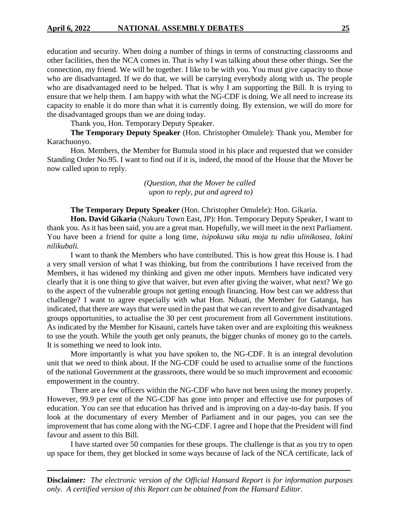education and security. When doing a number of things in terms of constructing classrooms and other facilities, then the NCA comes in. That is why I was talking about these other things. See the connection, my friend. We will be together. I like to be with you. You must give capacity to those who are disadvantaged. If we do that, we will be carrying everybody along with us. The people who are disadvantaged need to be helped. That is why I am supporting the Bill. It is trying to ensure that we help them. I am happy with what the NG-CDF is doing. We all need to increase its capacity to enable it do more than what it is currently doing. By extension, we will do more for the disadvantaged groups than we are doing today.

Thank you, Hon. Temporary Deputy Speaker.

**The Temporary Deputy Speaker** (Hon. Christopher Omulele): Thank you, Member for Karachuonyo.

Hon. Members, the Member for Bumula stood in his place and requested that we consider Standing Order No.95. I want to find out if it is, indeed, the mood of the House that the Mover be now called upon to reply.

> *(Question, that the Mover be called upon to reply, put and agreed to)*

**The Temporary Deputy Speaker** (Hon. Christopher Omulele): Hon. Gikaria.

**Hon. David Gikaria** (Nakuru Town East, JP): Hon. Temporary Deputy Speaker, I want to thank you. As it has been said, you are a great man. Hopefully, we will meet in the next Parliament. You have been a friend for quite a long time, *isipokuwa siku moja tu ndio ulinikosea, lakini nilikubali.* 

I want to thank the Members who have contributed. This is how great this House is. I had a very small version of what I was thinking, but from the contributions I have received from the Members, it has widened my thinking and given me other inputs. Members have indicated very clearly that it is one thing to give that waiver, but even after giving the waiver, what next? We go to the aspect of the vulnerable groups not getting enough financing. How best can we address that challenge? I want to agree especially with what Hon. Nduati, the Member for Gatanga, has indicated, that there are ways that were used in the past that we can revert to and give disadvantaged groups opportunities, to actualise the 30 per cent procurement from all Government institutions. As indicated by the Member for Kisauni, cartels have taken over and are exploiting this weakness to use the youth. While the youth get only peanuts, the bigger chunks of money go to the cartels. It is something we need to look into.

More importantly is what you have spoken to, the NG-CDF. It is an integral devolution unit that we need to think about. If the NG-CDF could be used to actualise some of the functions of the national Government at the grassroots, there would be so much improvement and economic empowerment in the country.

There are a few officers within the NG-CDF who have not been using the money properly. However, 99.9 per cent of the NG-CDF has gone into proper and effective use for purposes of education. You can see that education has thrived and is improving on a day-to-day basis. If you look at the documentary of every Member of Parliament and in our pages, you can see the improvement that has come along with the NG-CDF. I agree and I hope that the President will find favour and assent to this Bill.

I have started over 50 companies for these groups. The challenge is that as you try to open up space for them, they get blocked in some ways because of lack of the NCA certificate, lack of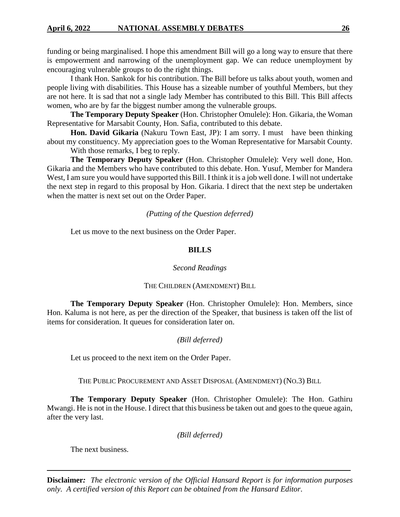funding or being marginalised. I hope this amendment Bill will go a long way to ensure that there is empowerment and narrowing of the unemployment gap. We can reduce unemployment by encouraging vulnerable groups to do the right things.

I thank Hon. Sankok for his contribution. The Bill before us talks about youth, women and people living with disabilities. This House has a sizeable number of youthful Members, but they are not here. It is sad that not a single lady Member has contributed to this Bill. This Bill affects women, who are by far the biggest number among the vulnerable groups.

**The Temporary Deputy Speaker** (Hon. Christopher Omulele): Hon. Gikaria, the Woman Representative for Marsabit County, Hon. Safia, contributed to this debate.

**Hon. David Gikaria** (Nakuru Town East, JP): I am sorry. I must have been thinking about my constituency. My appreciation goes to the Woman Representative for Marsabit County.

With those remarks, I beg to reply.

**The Temporary Deputy Speaker** (Hon. Christopher Omulele): Very well done, Hon. Gikaria and the Members who have contributed to this debate. Hon. Yusuf, Member for Mandera West, I am sure you would have supported this Bill. I think it is a job well done. I will not undertake the next step in regard to this proposal by Hon. Gikaria. I direct that the next step be undertaken when the matter is next set out on the Order Paper.

#### *(Putting of the Question deferred)*

Let us move to the next business on the Order Paper.

#### **BILLS**

## *Second Readings*

#### THE CHILDREN (AMENDMENT) BILL

**The Temporary Deputy Speaker** (Hon. Christopher Omulele): Hon. Members, since Hon. Kaluma is not here, as per the direction of the Speaker, that business is taken off the list of items for consideration. It queues for consideration later on.

## *(Bill deferred)*

Let us proceed to the next item on the Order Paper.

THE PUBLIC PROCUREMENT AND ASSET DISPOSAL (AMENDMENT) (NO.3) BILL

**The Temporary Deputy Speaker** (Hon. Christopher Omulele): The Hon. Gathiru Mwangi. He is not in the House. I direct that this business be taken out and goes to the queue again, after the very last.

*(Bill deferred)*

The next business.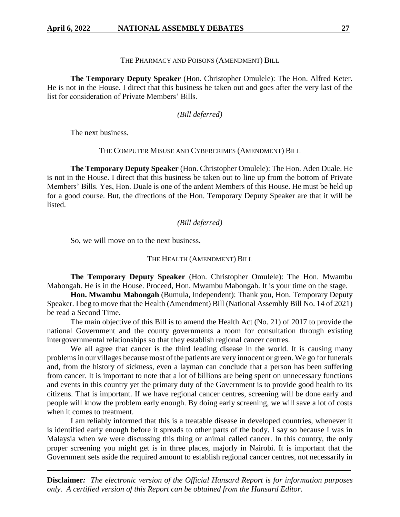## THE PHARMACY AND POISONS (AMENDMENT) BILL

**The Temporary Deputy Speaker** (Hon. Christopher Omulele): The Hon. Alfred Keter. He is not in the House. I direct that this business be taken out and goes after the very last of the list for consideration of Private Members' Bills.

## *(Bill deferred)*

The next business.

THE COMPUTER MISUSE AND CYBERCRIMES (AMENDMENT) BILL

**The Temporary Deputy Speaker** (Hon. Christopher Omulele): The Hon. Aden Duale. He is not in the House. I direct that this business be taken out to line up from the bottom of Private Members' Bills. Yes, Hon. Duale is one of the ardent Members of this House. He must be held up for a good course. But, the directions of the Hon. Temporary Deputy Speaker are that it will be listed.

#### *(Bill deferred)*

So, we will move on to the next business.

THE HEALTH (AMENDMENT) BILL

**The Temporary Deputy Speaker** (Hon. Christopher Omulele): The Hon. Mwambu Mabongah. He is in the House. Proceed, Hon. Mwambu Mabongah. It is your time on the stage.

**Hon. Mwambu Mabongah** (Bumula, Independent): Thank you, Hon. Temporary Deputy Speaker. I beg to move that the Health (Amendment) Bill (National Assembly Bill No. 14 of 2021) be read a Second Time.

The main objective of this Bill is to amend the Health Act (No. 21) of 2017 to provide the national Government and the county governments a room for consultation through existing intergovernmental relationships so that they establish regional cancer centres.

We all agree that cancer is the third leading disease in the world. It is causing many problems in our villages because most of the patients are very innocent or green. We go for funerals and, from the history of sickness, even a layman can conclude that a person has been suffering from cancer. It is important to note that a lot of billions are being spent on unnecessary functions and events in this country yet the primary duty of the Government is to provide good health to its citizens. That is important. If we have regional cancer centres, screening will be done early and people will know the problem early enough. By doing early screening, we will save a lot of costs when it comes to treatment.

I am reliably informed that this is a treatable disease in developed countries, whenever it is identified early enough before it spreads to other parts of the body. I say so because I was in Malaysia when we were discussing this thing or animal called cancer. In this country, the only proper screening you might get is in three places, majorly in Nairobi. It is important that the Government sets aside the required amount to establish regional cancer centres, not necessarily in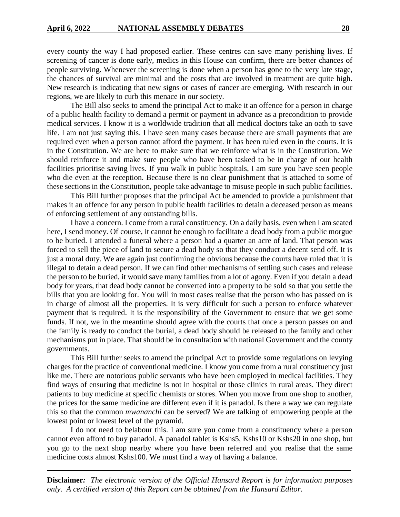every county the way I had proposed earlier. These centres can save many perishing lives. If screening of cancer is done early, medics in this House can confirm, there are better chances of people surviving. Whenever the screening is done when a person has gone to the very late stage, the chances of survival are minimal and the costs that are involved in treatment are quite high. New research is indicating that new signs or cases of cancer are emerging. With research in our regions, we are likely to curb this menace in our society.

The Bill also seeks to amend the principal Act to make it an offence for a person in charge of a public health facility to demand a permit or payment in advance as a precondition to provide medical services. I know it is a worldwide tradition that all medical doctors take an oath to save life. I am not just saying this. I have seen many cases because there are small payments that are required even when a person cannot afford the payment. It has been ruled even in the courts. It is in the Constitution. We are here to make sure that we reinforce what is in the Constitution. We should reinforce it and make sure people who have been tasked to be in charge of our health facilities prioritise saving lives. If you walk in public hospitals, I am sure you have seen people who die even at the reception. Because there is no clear punishment that is attached to some of these sections in the Constitution, people take advantage to misuse people in such public facilities.

This Bill further proposes that the principal Act be amended to provide a punishment that makes it an offence for any person in public health facilities to detain a deceased person as means of enforcing settlement of any outstanding bills.

I have a concern. I come from a rural constituency. On a daily basis, even when I am seated here, I send money. Of course, it cannot be enough to facilitate a dead body from a public morgue to be buried. I attended a funeral where a person had a quarter an acre of land. That person was forced to sell the piece of land to secure a dead body so that they conduct a decent send off. It is just a moral duty. We are again just confirming the obvious because the courts have ruled that it is illegal to detain a dead person. If we can find other mechanisms of settling such cases and release the person to be buried, it would save many families from a lot of agony. Even if you detain a dead body for years, that dead body cannot be converted into a property to be sold so that you settle the bills that you are looking for. You will in most cases realise that the person who has passed on is in charge of almost all the properties. It is very difficult for such a person to enforce whatever payment that is required. It is the responsibility of the Government to ensure that we get some funds. If not, we in the meantime should agree with the courts that once a person passes on and the family is ready to conduct the burial, a dead body should be released to the family and other mechanisms put in place. That should be in consultation with national Government and the county governments.

This Bill further seeks to amend the principal Act to provide some regulations on levying charges for the practice of conventional medicine. I know you come from a rural constituency just like me. There are notorious public servants who have been employed in medical facilities. They find ways of ensuring that medicine is not in hospital or those clinics in rural areas. They direct patients to buy medicine at specific chemists or stores. When you move from one shop to another, the prices for the same medicine are different even if it is panadol. Is there a way we can regulate this so that the common *mwananchi* can be served? We are talking of empowering people at the lowest point or lowest level of the pyramid.

I do not need to belabour this. I am sure you come from a constituency where a person cannot even afford to buy panadol. A panadol tablet is Kshs5, Kshs10 or Kshs20 in one shop, but you go to the next shop nearby where you have been referred and you realise that the same medicine costs almost Kshs100. We must find a way of having a balance.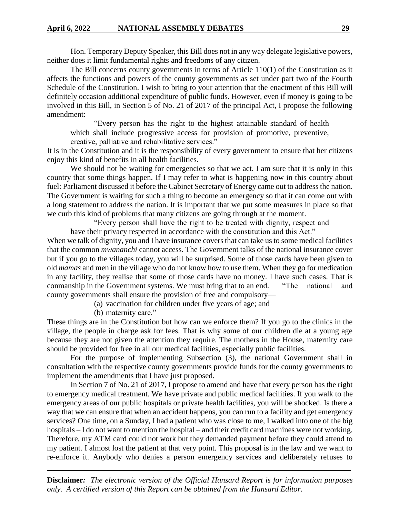Hon. Temporary Deputy Speaker, this Bill does not in any way delegate legislative powers, neither does it limit fundamental rights and freedoms of any citizen.

The Bill concerns county governments in terms of Article 110(1) of the Constitution as it affects the functions and powers of the county governments as set under part two of the Fourth Schedule of the Constitution. I wish to bring to your attention that the enactment of this Bill will definitely occasion additional expenditure of public funds. However, even if money is going to be involved in this Bill, in Section 5 of No. 21 of 2017 of the principal Act, I propose the following amendment:

"Every person has the right to the highest attainable standard of health which shall include progressive access for provision of promotive, preventive, creative, palliative and rehabilitative services."

It is in the Constitution and it is the responsibility of every government to ensure that her citizens enjoy this kind of benefits in all health facilities.

We should not be waiting for emergencies so that we act. I am sure that it is only in this country that some things happen. If I may refer to what is happening now in this country about fuel: Parliament discussed it before the Cabinet Secretary of Energy came out to address the nation. The Government is waiting for such a thing to become an emergency so that it can come out with a long statement to address the nation. It is important that we put some measures in place so that we curb this kind of problems that many citizens are going through at the moment.

"Every person shall have the right to be treated with dignity, respect and have their privacy respected in accordance with the constitution and this Act."

When we talk of dignity, you and I have insurance covers that can take us to some medical facilities that the common *mwananchi* cannot access. The Government talks of the national insurance cover but if you go to the villages today, you will be surprised. Some of those cards have been given to old *mamas* and men in the village who do not know how to use them. When they go for medication in any facility, they realise that some of those cards have no money. I have such cases. That is conmanship in the Government systems. We must bring that to an end. "The national and county governments shall ensure the provision of free and compulsory—

(a) vaccination for children under five years of age; and

(b) maternity care."

These things are in the Constitution but how can we enforce them? If you go to the clinics in the village, the people in charge ask for fees. That is why some of our children die at a young age because they are not given the attention they require. The mothers in the House, maternity care should be provided for free in all our medical facilities, especially public facilities.

For the purpose of implementing Subsection (3), the national Government shall in consultation with the respective county governments provide funds for the county governments to implement the amendments that I have just proposed.

In Section 7 of No. 21 of 2017, I propose to amend and have that every person has the right to emergency medical treatment. We have private and public medical facilities. If you walk to the emergency areas of our public hospitals or private health facilities, you will be shocked. Is there a way that we can ensure that when an accident happens, you can run to a facility and get emergency services? One time, on a Sunday, I had a patient who was close to me, I walked into one of the big hospitals – I do not want to mention the hospital – and their credit card machines were not working. Therefore, my ATM card could not work but they demanded payment before they could attend to my patient. I almost lost the patient at that very point. This proposal is in the law and we want to re-enforce it. Anybody who denies a person emergency services and deliberately refuses to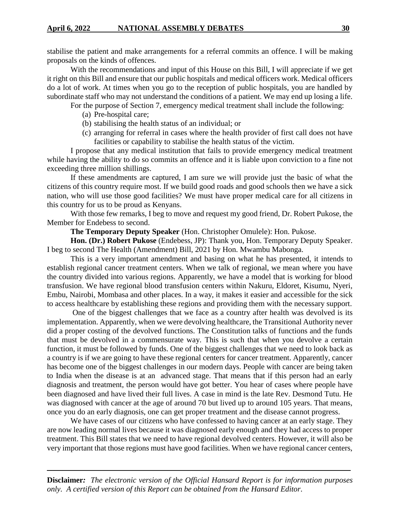stabilise the patient and make arrangements for a referral commits an offence. I will be making proposals on the kinds of offences.

With the recommendations and input of this House on this Bill, I will appreciate if we get it right on this Bill and ensure that our public hospitals and medical officers work. Medical officers do a lot of work. At times when you go to the reception of public hospitals, you are handled by subordinate staff who may not understand the conditions of a patient. We may end up losing a life.

For the purpose of Section 7, emergency medical treatment shall include the following:

- (a) Pre-hospital care;
- (b) stabilising the health status of an individual; or
- (c) arranging for referral in cases where the health provider of first call does not have facilities or capability to stabilise the health status of the victim.

I propose that any medical institution that fails to provide emergency medical treatment while having the ability to do so commits an offence and it is liable upon conviction to a fine not exceeding three million shillings.

If these amendments are captured, I am sure we will provide just the basic of what the citizens of this country require most. If we build good roads and good schools then we have a sick nation, who will use those good facilities? We must have proper medical care for all citizens in this country for us to be proud as Kenyans.

With those few remarks, I beg to move and request my good friend, Dr. Robert Pukose, the Member for Endebess to second.

**The Temporary Deputy Speaker** (Hon. Christopher Omulele): Hon. Pukose.

**Hon. (Dr.) Robert Pukose** (Endebess, JP): Thank you, Hon. Temporary Deputy Speaker. I beg to second The Health (Amendment) Bill, 2021 by Hon. Mwambu Mabonga.

This is a very important amendment and basing on what he has presented, it intends to establish regional cancer treatment centers. When we talk of regional, we mean where you have the country divided into various regions. Apparently, we have a model that is working for blood transfusion. We have regional blood transfusion centers within Nakuru, Eldoret, Kisumu, Nyeri, Embu, Nairobi, Mombasa and other places. In a way, it makes it easier and accessible for the sick to access healthcare by establishing these regions and providing them with the necessary support.

One of the biggest challenges that we face as a country after health was devolved is its implementation. Apparently, when we were devolving healthcare, the Transitional Authority never did a proper costing of the devolved functions. The Constitution talks of functions and the funds that must be devolved in a commensurate way. This is such that when you devolve a certain function, it must be followed by funds. One of the biggest challenges that we need to look back as a country is if we are going to have these regional centers for cancer treatment. Apparently, cancer has become one of the biggest challenges in our modern days. People with cancer are being taken to India when the disease is at an advanced stage. That means that if this person had an early diagnosis and treatment, the person would have got better. You hear of cases where people have been diagnosed and have lived their full lives. A case in mind is the late Rev. Desmond Tutu. He was diagnosed with cancer at the age of around 70 but lived up to around 105 years. That means, once you do an early diagnosis, one can get proper treatment and the disease cannot progress.

We have cases of our citizens who have confessed to having cancer at an early stage. They are now leading normal lives because it was diagnosed early enough and they had access to proper treatment. This Bill states that we need to have regional devolved centers. However, it will also be very important that those regions must have good facilities. When we have regional cancer centers,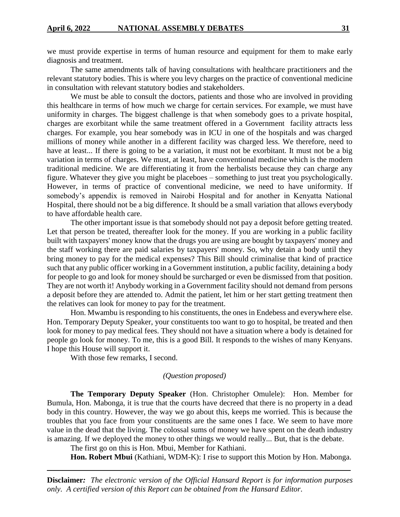we must provide expertise in terms of human resource and equipment for them to make early diagnosis and treatment.

The same amendments talk of having consultations with healthcare practitioners and the relevant statutory bodies. This is where you levy charges on the practice of conventional medicine in consultation with relevant statutory bodies and stakeholders.

We must be able to consult the doctors, patients and those who are involved in providing this healthcare in terms of how much we charge for certain services. For example, we must have uniformity in charges. The biggest challenge is that when somebody goes to a private hospital, charges are exorbitant while the same treatment offered in a Government facility attracts less charges. For example, you hear somebody was in ICU in one of the hospitals and was charged millions of money while another in a different facility was charged less. We therefore, need to have at least... If there is going to be a variation, it must not be exorbitant. It must not be a big variation in terms of charges. We must, at least, have conventional medicine which is the modern traditional medicine. We are differentiating it from the herbalists because they can charge any figure. Whatever they give you might be placeboes – something to just treat you psychologically. However, in terms of practice of conventional medicine, we need to have uniformity. If somebody's appendix is removed in Nairobi Hospital and for another in Kenyatta National Hospital, there should not be a big difference. It should be a small variation that allows everybody to have affordable health care.

The other important issue is that somebody should not pay a deposit before getting treated. Let that person be treated, thereafter look for the money. If you are working in a public facility built with taxpayers' money know that the drugs you are using are bought by taxpayers' money and the staff working there are paid salaries by taxpayers' money. So, why detain a body until they bring money to pay for the medical expenses? This Bill should criminalise that kind of practice such that any public officer working in a Government institution, a public facility, detaining a body for people to go and look for money should be surcharged or even be dismissed from that position. They are not worth it! Anybody working in a Government facility should not demand from persons a deposit before they are attended to. Admit the patient, let him or her start getting treatment then the relatives can look for money to pay for the treatment.

Hon. Mwambu is responding to his constituents, the ones in Endebess and everywhere else. Hon. Temporary Deputy Speaker, your constituents too want to go to hospital, be treated and then look for money to pay medical fees. They should not have a situation where a body is detained for people go look for money. To me, this is a good Bill. It responds to the wishes of many Kenyans. I hope this House will support it.

With those few remarks, I second.

#### *(Question proposed)*

**The Temporary Deputy Speaker** (Hon. Christopher Omulele): Hon. Member for Bumula, Hon. Mabonga, it is true that the courts have decreed that there is no property in a dead body in this country. However, the way we go about this, keeps me worried. This is because the troubles that you face from your constituents are the same ones I face. We seem to have more value in the dead that the living. The colossal sums of money we have spent on the death industry is amazing. If we deployed the money to other things we would really... But, that is the debate.

The first go on this is Hon. Mbui, Member for Kathiani.

**Hon. Robert Mbui** (Kathiani, WDM-K): I rise to support this Motion by Hon. Mabonga.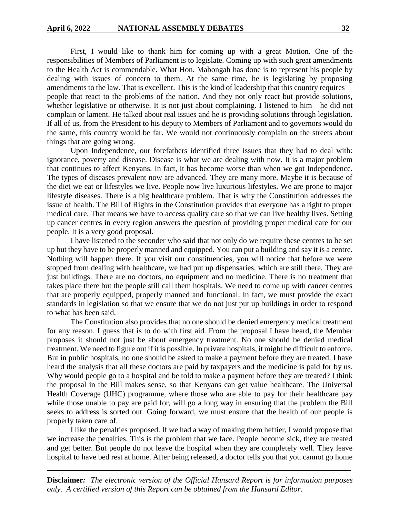First, I would like to thank him for coming up with a great Motion. One of the responsibilities of Members of Parliament is to legislate. Coming up with such great amendments to the Health Act is commendable. What Hon. Mabongah has done is to represent his people by dealing with issues of concern to them. At the same time, he is legislating by proposing amendments to the law. That is excellent. This is the kind of leadership that this country requires people that react to the problems of the nation. And they not only react but provide solutions, whether legislative or otherwise. It is not just about complaining. I listened to him—he did not complain or lament. He talked about real issues and he is providing solutions through legislation. If all of us, from the President to his deputy to Members of Parliament and to governors would do the same, this country would be far. We would not continuously complain on the streets about things that are going wrong.

Upon Independence, our forefathers identified three issues that they had to deal with: ignorance, poverty and disease. Disease is what we are dealing with now. It is a major problem that continues to affect Kenyans. In fact, it has become worse than when we got Independence. The types of diseases prevalent now are advanced. They are many more. Maybe it is because of the diet we eat or lifestyles we live. People now live luxurious lifestyles. We are prone to major lifestyle diseases. There is a big healthcare problem. That is why the Constitution addresses the issue of health. The Bill of Rights in the Constitution provides that everyone has a right to proper medical care. That means we have to access quality care so that we can live healthy lives. Setting up cancer centres in every region answers the question of providing proper medical care for our people. It is a very good proposal.

I have listened to the seconder who said that not only do we require these centres to be set up but they have to be properly manned and equipped. You can put a building and say it is a centre. Nothing will happen there. If you visit our constituencies, you will notice that before we were stopped from dealing with healthcare, we had put up dispensaries, which are still there. They are just buildings. There are no doctors, no equipment and no medicine. There is no treatment that takes place there but the people still call them hospitals. We need to come up with cancer centres that are properly equipped, properly manned and functional. In fact, we must provide the exact standards in legislation so that we ensure that we do not just put up buildings in order to respond to what has been said.

The Constitution also provides that no one should be denied emergency medical treatment for any reason. I guess that is to do with first aid. From the proposal I have heard, the Member proposes it should not just be about emergency treatment. No one should be denied medical treatment. We need to figure out if it is possible. In private hospitals, it might be difficult to enforce. But in public hospitals, no one should be asked to make a payment before they are treated. I have heard the analysis that all these doctors are paid by taxpayers and the medicine is paid for by us. Why would people go to a hospital and be told to make a payment before they are treated? I think the proposal in the Bill makes sense, so that Kenyans can get value healthcare. The Universal Health Coverage (UHC) programme, where those who are able to pay for their healthcare pay while those unable to pay are paid for, will go a long way in ensuring that the problem the Bill seeks to address is sorted out. Going forward, we must ensure that the health of our people is properly taken care of.

I like the penalties proposed. If we had a way of making them heftier, I would propose that we increase the penalties. This is the problem that we face. People become sick, they are treated and get better. But people do not leave the hospital when they are completely well. They leave hospital to have bed rest at home. After being released, a doctor tells you that you cannot go home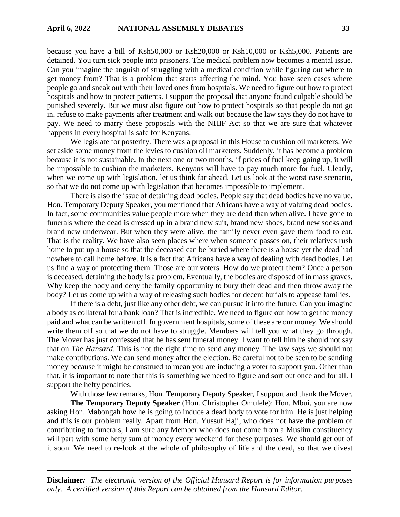because you have a bill of Ksh50,000 or Ksh20,000 or Ksh10,000 or Ksh5,000. Patients are detained. You turn sick people into prisoners. The medical problem now becomes a mental issue. Can you imagine the anguish of struggling with a medical condition while figuring out where to get money from? That is a problem that starts affecting the mind. You have seen cases where people go and sneak out with their loved ones from hospitals. We need to figure out how to protect hospitals and how to protect patients. I support the proposal that anyone found culpable should be punished severely. But we must also figure out how to protect hospitals so that people do not go in, refuse to make payments after treatment and walk out because the law says they do not have to pay. We need to marry these proposals with the NHIF Act so that we are sure that whatever happens in every hospital is safe for Kenyans.

We legislate for posterity. There was a proposal in this House to cushion oil marketers. We set aside some money from the levies to cushion oil marketers. Suddenly, it has become a problem because it is not sustainable. In the next one or two months, if prices of fuel keep going up, it will be impossible to cushion the marketers. Kenyans will have to pay much more for fuel. Clearly, when we come up with legislation, let us think far ahead. Let us look at the worst case scenario, so that we do not come up with legislation that becomes impossible to implement.

There is also the issue of detaining dead bodies. People say that dead bodies have no value. Hon. Temporary Deputy Speaker, you mentioned that Africans have a way of valuing dead bodies. In fact, some communities value people more when they are dead than when alive. I have gone to funerals where the dead is dressed up in a brand new suit, brand new shoes, brand new socks and brand new underwear. But when they were alive, the family never even gave them food to eat. That is the reality. We have also seen places where when someone passes on, their relatives rush home to put up a house so that the deceased can be buried where there is a house yet the dead had nowhere to call home before. It is a fact that Africans have a way of dealing with dead bodies. Let us find a way of protecting them. Those are our voters. How do we protect them? Once a person is deceased, detaining the body is a problem. Eventually, the bodies are disposed of in mass graves. Why keep the body and deny the family opportunity to bury their dead and then throw away the body? Let us come up with a way of releasing such bodies for decent burials to appease families.

If there is a debt, just like any other debt, we can pursue it into the future. Can you imagine a body as collateral for a bank loan? That is incredible. We need to figure out how to get the money paid and what can be written off. In government hospitals, some of these are our money. We should write them off so that we do not have to struggle. Members will tell you what they go through. The Mover has just confessed that he has sent funeral money. I want to tell him he should not say that on *The Hansard*. This is not the right time to send any money. The law says we should not make contributions. We can send money after the election. Be careful not to be seen to be sending money because it might be construed to mean you are inducing a voter to support you. Other than that, it is important to note that this is something we need to figure and sort out once and for all. I support the hefty penalties.

With those few remarks, Hon. Temporary Deputy Speaker, I support and thank the Mover.

**The Temporary Deputy Speaker** (Hon. Christopher Omulele): Hon. Mbui, you are now asking Hon. Mabongah how he is going to induce a dead body to vote for him. He is just helping and this is our problem really. Apart from Hon. Yussuf Haji, who does not have the problem of contributing to funerals, I am sure any Member who does not come from a Muslim constituency will part with some hefty sum of money every weekend for these purposes. We should get out of it soon. We need to re-look at the whole of philosophy of life and the dead, so that we divest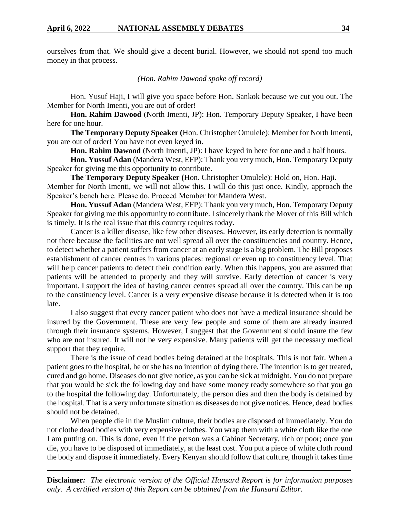ourselves from that. We should give a decent burial. However, we should not spend too much money in that process.

## *(Hon. Rahim Dawood spoke off record)*

Hon. Yusuf Haji, I will give you space before Hon. Sankok because we cut you out. The Member for North Imenti, you are out of order!

**Hon. Rahim Dawood** (North Imenti, JP): Hon. Temporary Deputy Speaker, I have been here for one hour.

**The Temporary Deputy Speaker (**Hon. Christopher Omulele): Member for North Imenti, you are out of order! You have not even keyed in.

**Hon. Rahim Dawood** (North Imenti, JP): I have keyed in here for one and a half hours.

**Hon. Yussuf Adan** (Mandera West, EFP): Thank you very much, Hon. Temporary Deputy Speaker for giving me this opportunity to contribute.

**The Temporary Deputy Speaker (**Hon. Christopher Omulele): Hold on, Hon. Haji. Member for North Imenti, we will not allow this. I will do this just once. Kindly, approach the Speaker's bench here. Please do. Proceed Member for Mandera West.

**Hon. Yussuf Adan** (Mandera West, EFP): Thank you very much, Hon. Temporary Deputy Speaker for giving me this opportunity to contribute. I sincerely thank the Mover of this Bill which is timely. It is the real issue that this country requires today.

Cancer is a killer disease, like few other diseases. However, its early detection is normally not there because the facilities are not well spread all over the constituencies and country. Hence, to detect whether a patient suffers from cancer at an early stage is a big problem. The Bill proposes establishment of cancer centres in various places: regional or even up to constituency level. That will help cancer patients to detect their condition early. When this happens, you are assured that patients will be attended to properly and they will survive. Early detection of cancer is very important. I support the idea of having cancer centres spread all over the country. This can be up to the constituency level. Cancer is a very expensive disease because it is detected when it is too late.

I also suggest that every cancer patient who does not have a medical insurance should be insured by the Government. These are very few people and some of them are already insured through their insurance systems. However, I suggest that the Government should insure the few who are not insured. It will not be very expensive. Many patients will get the necessary medical support that they require.

There is the issue of dead bodies being detained at the hospitals. This is not fair. When a patient goes to the hospital, he or she has no intention of dying there. The intention is to get treated, cured and go home. Diseases do not give notice, as you can be sick at midnight. You do not prepare that you would be sick the following day and have some money ready somewhere so that you go to the hospital the following day. Unfortunately, the person dies and then the body is detained by the hospital. That is a very unfortunate situation as diseases do not give notices. Hence, dead bodies should not be detained.

When people die in the Muslim culture, their bodies are disposed of immediately. You do not clothe dead bodies with very expensive clothes. You wrap them with a white cloth like the one I am putting on. This is done, even if the person was a Cabinet Secretary, rich or poor; once you die, you have to be disposed of immediately, at the least cost. You put a piece of white cloth round the body and dispose it immediately. Every Kenyan should follow that culture, though it takes time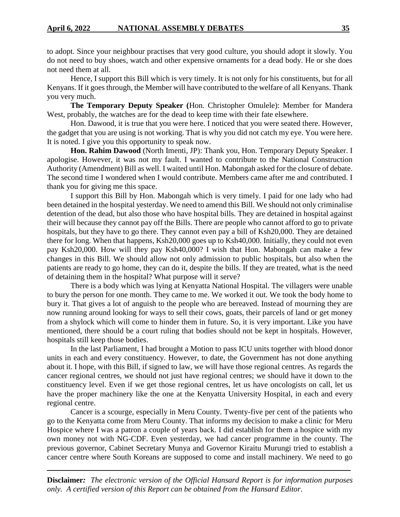to adopt. Since your neighbour practises that very good culture, you should adopt it slowly. You do not need to buy shoes, watch and other expensive ornaments for a dead body. He or she does not need them at all.

Hence, I support this Bill which is very timely. It is not only for his constituents, but for all Kenyans. If it goes through, the Member will have contributed to the welfare of all Kenyans. Thank you very much.

**The Temporary Deputy Speaker (**Hon. Christopher Omulele): Member for Mandera West, probably, the watches are for the dead to keep time with their fate elsewhere.

Hon. Dawood, it is true that you were here. I noticed that you were seated there. However, the gadget that you are using is not working. That is why you did not catch my eye. You were here. It is noted. I give you this opportunity to speak now.

**Hon. Rahim Dawood** (North Imenti, JP): Thank you, Hon. Temporary Deputy Speaker. I apologise. However, it was not my fault. I wanted to contribute to the National Construction Authority (Amendment) Bill as well. I waited until Hon. Mabongah asked for the closure of debate. The second time I wondered when I would contribute. Members came after me and contributed. I thank you for giving me this space.

I support this Bill by Hon. Mabongah which is very timely. I paid for one lady who had been detained in the hospital yesterday. We need to amend this Bill. We should not only criminalise detention of the dead, but also those who have hospital bills. They are detained in hospital against their will because they cannot pay off the Bills. There are people who cannot afford to go to private hospitals, but they have to go there. They cannot even pay a bill of Ksh20,000. They are detained there for long. When that happens, Ksh20,000 goes up to Ksh40,000. Initially, they could not even pay Ksh20,000. How will they pay Ksh40,000? I wish that Hon. Mabongah can make a few changes in this Bill. We should allow not only admission to public hospitals, but also when the patients are ready to go home, they can do it, despite the bills. If they are treated, what is the need of detaining them in the hospital? What purpose will it serve?

There is a body which was lying at Kenyatta National Hospital. The villagers were unable to bury the person for one month. They came to me. We worked it out. We took the body home to bury it. That gives a lot of anguish to the people who are bereaved. Instead of mourning they are now running around looking for ways to sell their cows, goats, their parcels of land or get money from a shylock which will come to hinder them in future. So, it is very important. Like you have mentioned, there should be a court ruling that bodies should not be kept in hospitals. However, hospitals still keep those bodies.

In the last Parliament, I had brought a Motion to pass ICU units together with blood donor units in each and every constituency. However, to date, the Government has not done anything about it. I hope, with this Bill, if signed to law, we will have those regional centres. As regards the cancer regional centres, we should not just have regional centres; we should have it down to the constituency level. Even if we get those regional centres, let us have oncologists on call, let us have the proper machinery like the one at the Kenyatta University Hospital, in each and every regional centre.

Cancer is a scourge, especially in Meru County. Twenty-five per cent of the patients who go to the Kenyatta come from Meru County. That informs my decision to make a clinic for Meru Hospice where I was a patron a couple of years back. I did establish for them a hospice with my own money not with NG-CDF. Even yesterday, we had cancer programme in the county. The previous governor, Cabinet Secretary Munya and Governor Kiraitu Murungi tried to establish a cancer centre where South Koreans are supposed to come and install machinery. We need to go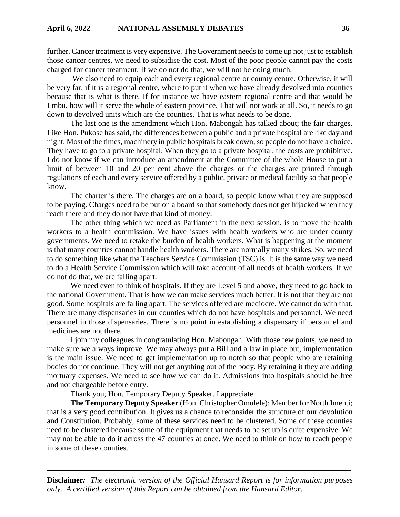further. Cancer treatment is very expensive. The Government needs to come up not just to establish those cancer centres, we need to subsidise the cost. Most of the poor people cannot pay the costs charged for cancer treatment. If we do not do that, we will not be doing much.

We also need to equip each and every regional centre or county centre. Otherwise, it will be very far, if it is a regional centre, where to put it when we have already devolved into counties because that is what is there. If for instance we have eastern regional centre and that would be Embu, how will it serve the whole of eastern province. That will not work at all. So, it needs to go down to devolved units which are the counties. That is what needs to be done.

The last one is the amendment which Hon. Mabongah has talked about; the fair charges. Like Hon. Pukose has said, the differences between a public and a private hospital are like day and night. Most of the times, machinery in public hospitals break down, so people do not have a choice. They have to go to a private hospital. When they go to a private hospital, the costs are prohibitive. I do not know if we can introduce an amendment at the Committee of the whole House to put a limit of between 10 and 20 per cent above the charges or the charges are printed through regulations of each and every service offered by a public, private or medical facility so that people know.

The charter is there. The charges are on a board, so people know what they are supposed to be paying. Charges need to be put on a board so that somebody does not get hijacked when they reach there and they do not have that kind of money.

The other thing which we need as Parliament in the next session, is to move the health workers to a health commission. We have issues with health workers who are under county governments. We need to retake the burden of health workers. What is happening at the moment is that many counties cannot handle health workers. There are normally many strikes. So, we need to do something like what the Teachers Service Commission (TSC) is. It is the same way we need to do a Health Service Commission which will take account of all needs of health workers. If we do not do that, we are falling apart.

We need even to think of hospitals. If they are Level 5 and above, they need to go back to the national Government. That is how we can make services much better. It is not that they are not good. Some hospitals are falling apart. The services offered are mediocre. We cannot do with that. There are many dispensaries in our counties which do not have hospitals and personnel. We need personnel in those dispensaries. There is no point in establishing a dispensary if personnel and medicines are not there.

I join my colleagues in congratulating Hon. Mabongah. With those few points, we need to make sure we always improve. We may always put a Bill and a law in place but, implementation is the main issue. We need to get implementation up to notch so that people who are retaining bodies do not continue. They will not get anything out of the body. By retaining it they are adding mortuary expenses. We need to see how we can do it. Admissions into hospitals should be free and not chargeable before entry.

Thank you, Hon. Temporary Deputy Speaker. I appreciate.

**The Temporary Deputy Speaker** (Hon. Christopher Omulele): Member for North Imenti; that is a very good contribution. It gives us a chance to reconsider the structure of our devolution and Constitution. Probably, some of these services need to be clustered. Some of these counties need to be clustered because some of the equipment that needs to be set up is quite expensive. We may not be able to do it across the 47 counties at once. We need to think on how to reach people in some of these counties.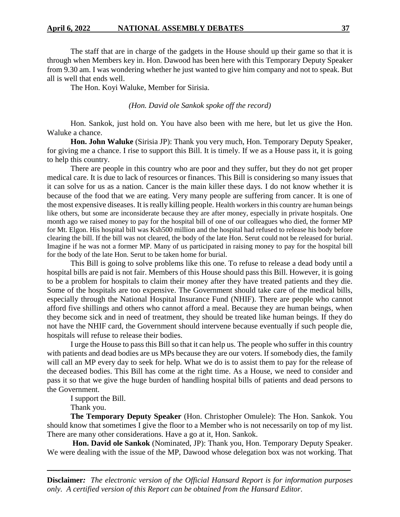The staff that are in charge of the gadgets in the House should up their game so that it is through when Members key in. Hon. Dawood has been here with this Temporary Deputy Speaker from 9.30 am. I was wondering whether he just wanted to give him company and not to speak. But all is well that ends well.

The Hon. Koyi Waluke, Member for Sirisia.

## *(Hon. David ole Sankok spoke off the record)*

Hon. Sankok, just hold on. You have also been with me here, but let us give the Hon. Waluke a chance.

**Hon. John Waluke** (Sirisia JP): Thank you very much, Hon. Temporary Deputy Speaker, for giving me a chance. I rise to support this Bill. It is timely. If we as a House pass it, it is going to help this country.

There are people in this country who are poor and they suffer, but they do not get proper medical care. It is due to lack of resources or finances. This Bill is considering so many issues that it can solve for us as a nation. Cancer is the main killer these days. I do not know whether it is because of the food that we are eating. Very many people are suffering from cancer. It is one of the most expensive diseases. It is really killing people. Health workers in this country are human beings like others, but some are inconsiderate because they are after money, especially in private hospitals. One month ago we raised money to pay for the hospital bill of one of our colleagues who died, the former MP for Mt. Elgon. His hospital bill was Ksh500 million and the hospital had refused to release his body before clearing the bill. If the bill was not cleared, the body of the late Hon. Serut could not be released for burial. Imagine if he was not a former MP. Many of us participated in raising money to pay for the hospital bill for the body of the late Hon. Serut to be taken home for burial.

This Bill is going to solve problems like this one. To refuse to release a dead body until a hospital bills are paid is not fair. Members of this House should pass this Bill. However, it is going to be a problem for hospitals to claim their money after they have treated patients and they die. Some of the hospitals are too expensive. The Government should take care of the medical bills, especially through the National Hospital Insurance Fund (NHIF). There are people who cannot afford five shillings and others who cannot afford a meal. Because they are human beings, when they become sick and in need of treatment, they should be treated like human beings. If they do not have the NHIF card, the Government should intervene because eventually if such people die, hospitals will refuse to release their bodies.

I urge the House to pass this Bill so that it can help us. The people who suffer in this country with patients and dead bodies are us MPs because they are our voters. If somebody dies, the family will call an MP every day to seek for help. What we do is to assist them to pay for the release of the deceased bodies. This Bill has come at the right time. As a House, we need to consider and pass it so that we give the huge burden of handling hospital bills of patients and dead persons to the Government.

I support the Bill.

Thank you.

**The Temporary Deputy Speaker** (Hon. Christopher Omulele): The Hon. Sankok. You should know that sometimes I give the floor to a Member who is not necessarily on top of my list. There are many other considerations. Have a go at it, Hon. Sankok.

**Hon. David ole Sankok** (Nominated, JP): Thank you, Hon. Temporary Deputy Speaker. We were dealing with the issue of the MP, Dawood whose delegation box was not working. That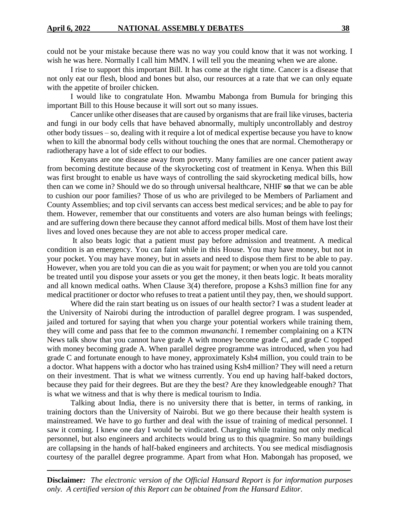could not be your mistake because there was no way you could know that it was not working. I wish he was here. Normally I call him MMN. I will tell you the meaning when we are alone.

I rise to support this important Bill. It has come at the right time. Cancer is a disease that not only eat our flesh, blood and bones but also, our resources at a rate that we can only equate with the appetite of broiler chicken.

I would like to congratulate Hon. Mwambu Mabonga from Bumula for bringing this important Bill to this House because it will sort out so many issues.

Cancer unlike other diseases that are caused by organisms that are frail like viruses, bacteria and fungi in our body cells that have behaved abnormally, multiply uncontrollably and destroy other body tissues – so, dealing with it require a lot of medical expertise because you have to know when to kill the abnormal body cells without touching the ones that are normal. Chemotherapy or radiotherapy have a lot of side effect to our bodies.

Kenyans are one disease away from poverty. Many families are one cancer patient away from becoming destitute because of the skyrocketing cost of treatment in Kenya. When this Bill was first brought to enable us have ways of controlling the said skyrocketing medical bills, how then can we come in? Should we do so through universal healthcare, NHIF **so** that we can be able to cushion our poor families? Those of us who are privileged to be Members of Parliament and County Assemblies; and top civil servants can access best medical services; and be able to pay for them. However, remember that our constituents and voters are also human beings with feelings; and are suffering down there because they cannot afford medical bills. Most of them have lost their lives and loved ones because they are not able to access proper medical care.

It also beats logic that a patient must pay before admission and treatment. A medical condition is an emergency. You can faint while in this House. You may have money, but not in your pocket. You may have money, but in assets and need to dispose them first to be able to pay. However, when you are told you can die as you wait for payment; or when you are told you cannot be treated until you dispose your assets or you get the money, it then beats logic. It beats morality and all known medical oaths. When Clause 3(4) therefore, propose a Kshs3 million fine for any medical practitioner or doctor who refuses to treat a patient until they pay, then, we should support.

Where did the rain start beating us on issues of our health sector? I was a student leader at the University of Nairobi during the introduction of parallel degree program. I was suspended, jailed and tortured for saying that when you charge your potential workers while training them, they will come and pass that fee to the common *mwananchi*. I remember complaining on a KTN News talk show that you cannot have grade A with money become grade C, and grade C topped with money becoming grade A. When parallel degree programme was introduced, when you had grade C and fortunate enough to have money, approximately Ksh4 million, you could train to be a doctor. What happens with a doctor who has trained using Ksh4 million? They will need a return on their investment. That is what we witness currently. You end up having half-baked doctors, because they paid for their degrees. But are they the best? Are they knowledgeable enough? That is what we witness and that is why there is medical tourism to India.

Talking about India, there is no university there that is better, in terms of ranking, in training doctors than the University of Nairobi. But we go there because their health system is mainstreamed. We have to go further and deal with the issue of training of medical personnel. I saw it coming. I knew one day I would be vindicated. Charging while training not only medical personnel, but also engineers and architects would bring us to this quagmire. So many buildings are collapsing in the hands of half-baked engineers and architects. You see medical misdiagnosis courtesy of the parallel degree programme. Apart from what Hon. Mabongah has proposed, we